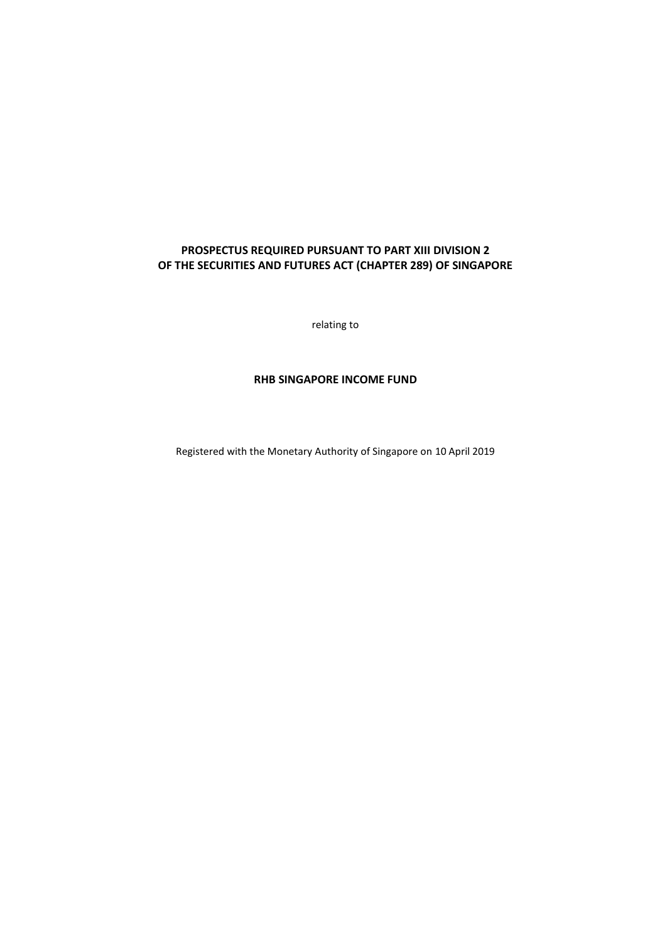# **PROSPECTUS REQUIRED PURSUANT TO PART XIII DIVISION 2 OF THE SECURITIES AND FUTURES ACT (CHAPTER 289) OF SINGAPORE**

relating to

# **RHB SINGAPORE INCOME FUND**

Registered with the Monetary Authority of Singapore on 10 April 2019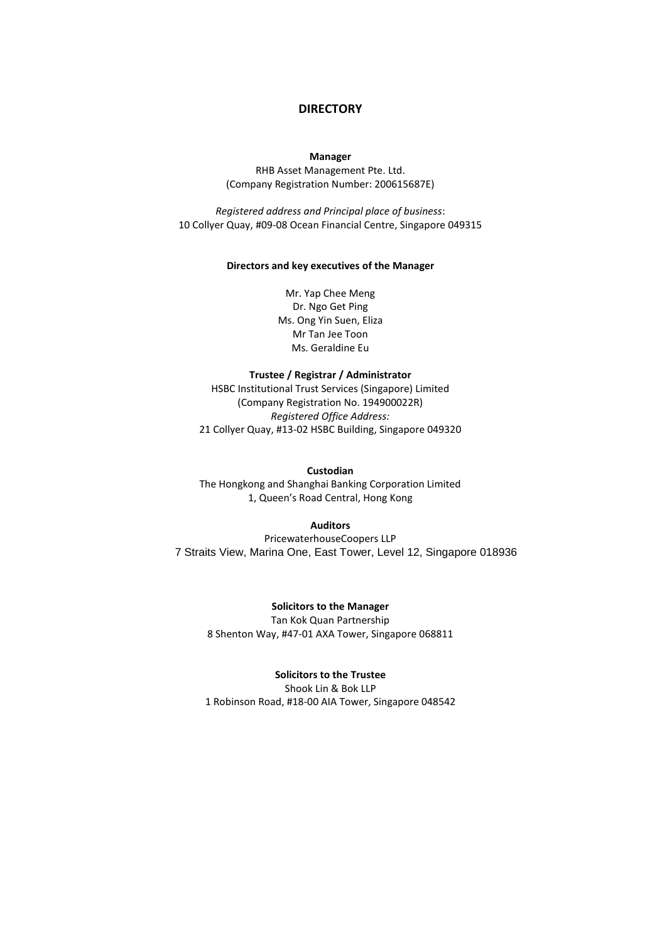# **DIRECTORY**

#### **Manager**

RHB Asset Management Pte. Ltd. (Company Registration Number: 200615687E)

*Registered address and Principal place of business*: 10 Collyer Quay, #09-08 Ocean Financial Centre, Singapore 049315

#### **Directors and key executives of the Manager**

Mr. Yap Chee Meng Dr. Ngo Get Ping Ms. Ong Yin Suen, Eliza Mr Tan Jee Toon Ms. Geraldine Eu

#### **Trustee / Registrar / Administrator**

HSBC Institutional Trust Services (Singapore) Limited (Company Registration No. 194900022R) *Registered Office Address:* 21 Collyer Quay, #13-02 HSBC Building, Singapore 049320

### **Custodian**

The Hongkong and Shanghai Banking Corporation Limited 1, Queen's Road Central, Hong Kong

### **Auditors**

PricewaterhouseCoopers LLP 7 Straits View, Marina One, East Tower, Level 12, Singapore 018936

# **Solicitors to the Manager**

Tan Kok Quan Partnership 8 Shenton Way, #47-01 AXA Tower, Singapore 068811

#### **Solicitors to the Trustee**

Shook Lin & Bok LLP 1 Robinson Road, #18-00 AIA Tower, Singapore 048542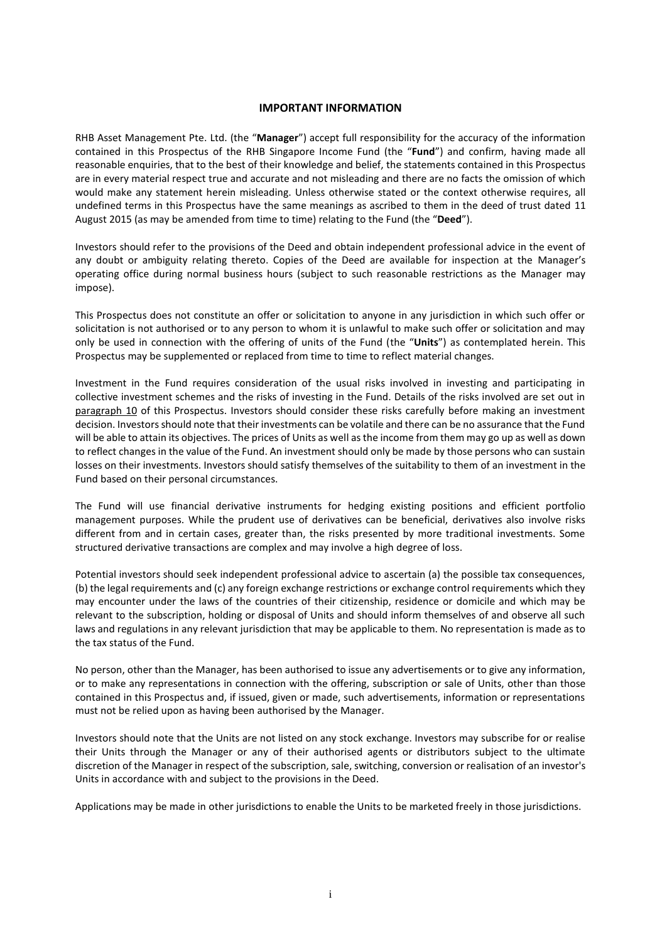### **IMPORTANT INFORMATION**

RHB Asset Management Pte. Ltd. (the "**Manager**") accept full responsibility for the accuracy of the information contained in this Prospectus of the RHB Singapore Income Fund (the "**Fund**") and confirm, having made all reasonable enquiries, that to the best of their knowledge and belief, the statements contained in this Prospectus are in every material respect true and accurate and not misleading and there are no facts the omission of which would make any statement herein misleading. Unless otherwise stated or the context otherwise requires, all undefined terms in this Prospectus have the same meanings as ascribed to them in the deed of trust dated 11 August 2015 (as may be amended from time to time) relating to the Fund (the "**Deed**").

Investors should refer to the provisions of the Deed and obtain independent professional advice in the event of any doubt or ambiguity relating thereto. Copies of the Deed are available for inspection at the Manager's operating office during normal business hours (subject to such reasonable restrictions as the Manager may impose).

This Prospectus does not constitute an offer or solicitation to anyone in any jurisdiction in which such offer or solicitation is not authorised or to any person to whom it is unlawful to make such offer or solicitation and may only be used in connection with the offering of units of the Fund (the "**Units**") as contemplated herein. This Prospectus may be supplemented or replaced from time to time to reflect material changes.

Investment in the Fund requires consideration of the usual risks involved in investing and participating in collective investment schemes and the risks of investing in the Fund. Details of the risks involved are set out in paragraph 10 of this Prospectus. Investors should consider these risks carefully before making an investment decision. Investors should note that their investments can be volatile and there can be no assurance that the Fund will be able to attain its objectives. The prices of Units as well as the income from them may go up as well as down to reflect changes in the value of the Fund. An investment should only be made by those persons who can sustain losses on their investments. Investors should satisfy themselves of the suitability to them of an investment in the Fund based on their personal circumstances.

The Fund will use financial derivative instruments for hedging existing positions and efficient portfolio management purposes. While the prudent use of derivatives can be beneficial, derivatives also involve risks different from and in certain cases, greater than, the risks presented by more traditional investments. Some structured derivative transactions are complex and may involve a high degree of loss.

Potential investors should seek independent professional advice to ascertain (a) the possible tax consequences, (b) the legal requirements and (c) any foreign exchange restrictions or exchange control requirements which they may encounter under the laws of the countries of their citizenship, residence or domicile and which may be relevant to the subscription, holding or disposal of Units and should inform themselves of and observe all such laws and regulations in any relevant jurisdiction that may be applicable to them. No representation is made as to the tax status of the Fund.

No person, other than the Manager, has been authorised to issue any advertisements or to give any information, or to make any representations in connection with the offering, subscription or sale of Units, other than those contained in this Prospectus and, if issued, given or made, such advertisements, information or representations must not be relied upon as having been authorised by the Manager.

Investors should note that the Units are not listed on any stock exchange. Investors may subscribe for or realise their Units through the Manager or any of their authorised agents or distributors subject to the ultimate discretion of the Manager in respect of the subscription, sale, switching, conversion or realisation of an investor's Units in accordance with and subject to the provisions in the Deed.

Applications may be made in other jurisdictions to enable the Units to be marketed freely in those jurisdictions.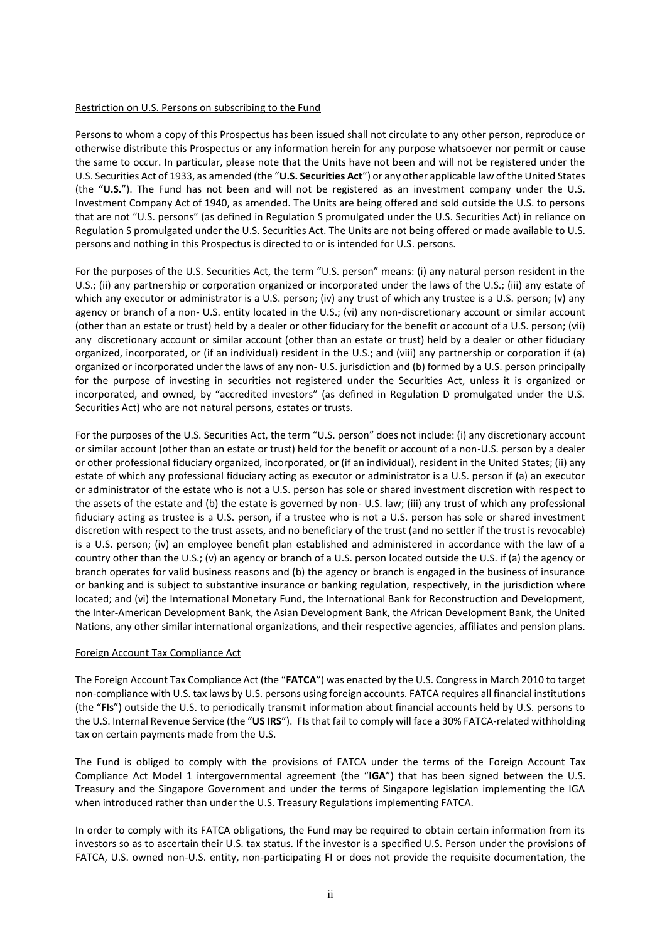### Restriction on U.S. Persons on subscribing to the Fund

Persons to whom a copy of this Prospectus has been issued shall not circulate to any other person, reproduce or otherwise distribute this Prospectus or any information herein for any purpose whatsoever nor permit or cause the same to occur. In particular, please note that the Units have not been and will not be registered under the U.S. Securities Act of 1933, as amended (the "**U.S. Securities Act**") or any other applicable law of the United States (the "**U.S.**"). The Fund has not been and will not be registered as an investment company under the U.S. Investment Company Act of 1940, as amended. The Units are being offered and sold outside the U.S. to persons that are not "U.S. persons" (as defined in Regulation S promulgated under the U.S. Securities Act) in reliance on Regulation S promulgated under the U.S. Securities Act. The Units are not being offered or made available to U.S. persons and nothing in this Prospectus is directed to or is intended for U.S. persons.

For the purposes of the U.S. Securities Act, the term "U.S. person" means: (i) any natural person resident in the U.S.; (ii) any partnership or corporation organized or incorporated under the laws of the U.S.; (iii) any estate of which any executor or administrator is a U.S. person; (iv) any trust of which any trustee is a U.S. person; (v) any agency or branch of a non- U.S. entity located in the U.S.; (vi) any non-discretionary account or similar account (other than an estate or trust) held by a dealer or other fiduciary for the benefit or account of a U.S. person; (vii) any discretionary account or similar account (other than an estate or trust) held by a dealer or other fiduciary organized, incorporated, or (if an individual) resident in the U.S.; and (viii) any partnership or corporation if (a) organized or incorporated under the laws of any non- U.S. jurisdiction and (b) formed by a U.S. person principally for the purpose of investing in securities not registered under the Securities Act, unless it is organized or incorporated, and owned, by "accredited investors" (as defined in Regulation D promulgated under the U.S. Securities Act) who are not natural persons, estates or trusts.

For the purposes of the U.S. Securities Act, the term "U.S. person" does not include: (i) any discretionary account or similar account (other than an estate or trust) held for the benefit or account of a non-U.S. person by a dealer or other professional fiduciary organized, incorporated, or (if an individual), resident in the United States; (ii) any estate of which any professional fiduciary acting as executor or administrator is a U.S. person if (a) an executor or administrator of the estate who is not a U.S. person has sole or shared investment discretion with respect to the assets of the estate and (b) the estate is governed by non- U.S. law; (iii) any trust of which any professional fiduciary acting as trustee is a U.S. person, if a trustee who is not a U.S. person has sole or shared investment discretion with respect to the trust assets, and no beneficiary of the trust (and no settler if the trust is revocable) is a U.S. person; (iv) an employee benefit plan established and administered in accordance with the law of a country other than the U.S.; (v) an agency or branch of a U.S. person located outside the U.S. if (a) the agency or branch operates for valid business reasons and (b) the agency or branch is engaged in the business of insurance or banking and is subject to substantive insurance or banking regulation, respectively, in the jurisdiction where located; and (vi) the International Monetary Fund, the International Bank for Reconstruction and Development, the Inter-American Development Bank, the Asian Development Bank, the African Development Bank, the United Nations, any other similar international organizations, and their respective agencies, affiliates and pension plans.

# Foreign Account Tax Compliance Act

The Foreign Account Tax Compliance Act (the "**FATCA**") was enacted by the U.S. Congress in March 2010 to target non-compliance with U.S. tax laws by U.S. persons using foreign accounts. FATCA requires all financial institutions (the "**FIs**") outside the U.S. to periodically transmit information about financial accounts held by U.S. persons to the U.S. Internal Revenue Service (the "**US IRS**"). FIs that fail to comply will face a 30% FATCA-related withholding tax on certain payments made from the U.S.

The Fund is obliged to comply with the provisions of FATCA under the terms of the Foreign Account Tax Compliance Act Model 1 intergovernmental agreement (the "**IGA**") that has been signed between the U.S. Treasury and the Singapore Government and under the terms of Singapore legislation implementing the IGA when introduced rather than under the U.S. Treasury Regulations implementing FATCA.

In order to comply with its FATCA obligations, the Fund may be required to obtain certain information from its investors so as to ascertain their U.S. tax status. If the investor is a specified U.S. Person under the provisions of FATCA, U.S. owned non-U.S. entity, non-participating FI or does not provide the requisite documentation, the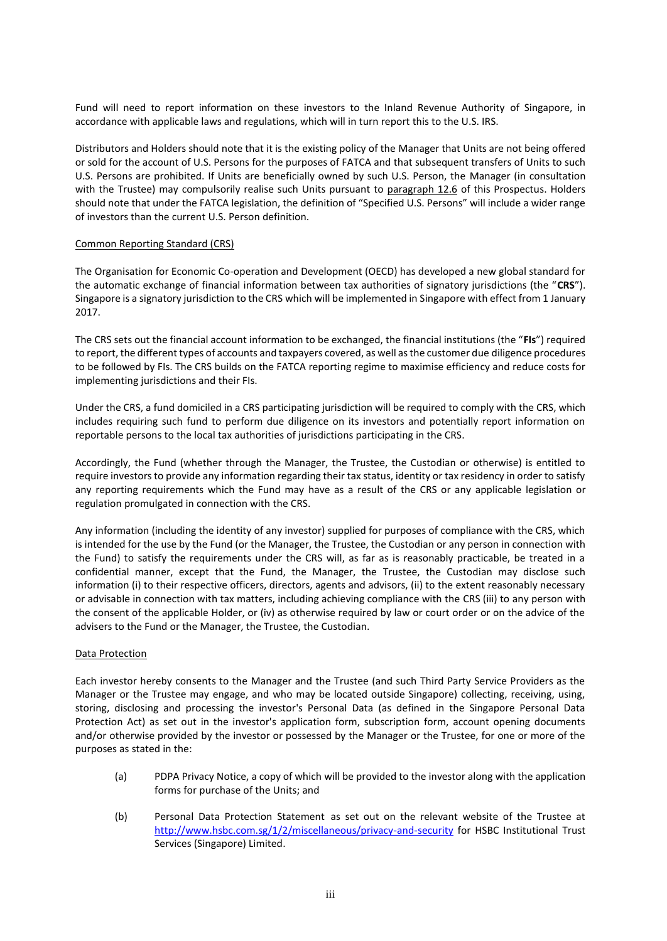Fund will need to report information on these investors to the Inland Revenue Authority of Singapore, in accordance with applicable laws and regulations, which will in turn report this to the U.S. IRS.

Distributors and Holders should note that it is the existing policy of the Manager that Units are not being offered or sold for the account of U.S. Persons for the purposes of FATCA and that subsequent transfers of Units to such U.S. Persons are prohibited. If Units are beneficially owned by such U.S. Person, the Manager (in consultation with the Trustee) may compulsorily realise such Units pursuant to paragraph 12.6 of this Prospectus. Holders should note that under the FATCA legislation, the definition of "Specified U.S. Persons" will include a wider range of investors than the current U.S. Person definition.

### Common Reporting Standard (CRS)

The Organisation for Economic Co-operation and Development (OECD) has developed a new global standard for the automatic exchange of financial information between tax authorities of signatory jurisdictions (the "**CRS**"). Singapore is a signatory jurisdiction to the CRS which will be implemented in Singapore with effect from 1 January 2017.

The CRS sets out the financial account information to be exchanged, the financial institutions (the "**FIs**") required to report, the different types of accounts and taxpayers covered, as well as the customer due diligence procedures to be followed by FIs. The CRS builds on the FATCA reporting regime to maximise efficiency and reduce costs for implementing jurisdictions and their FIs.

Under the CRS, a fund domiciled in a CRS participating jurisdiction will be required to comply with the CRS, which includes requiring such fund to perform due diligence on its investors and potentially report information on reportable persons to the local tax authorities of jurisdictions participating in the CRS.

Accordingly, the Fund (whether through the Manager, the Trustee, the Custodian or otherwise) is entitled to require investors to provide any information regarding their tax status, identity or tax residency in order to satisfy any reporting requirements which the Fund may have as a result of the CRS or any applicable legislation or regulation promulgated in connection with the CRS.

Any information (including the identity of any investor) supplied for purposes of compliance with the CRS, which is intended for the use by the Fund (or the Manager, the Trustee, the Custodian or any person in connection with the Fund) to satisfy the requirements under the CRS will, as far as is reasonably practicable, be treated in a confidential manner, except that the Fund, the Manager, the Trustee, the Custodian may disclose such information (i) to their respective officers, directors, agents and advisors, (ii) to the extent reasonably necessary or advisable in connection with tax matters, including achieving compliance with the CRS (iii) to any person with the consent of the applicable Holder, or (iv) as otherwise required by law or court order or on the advice of the advisers to the Fund or the Manager, the Trustee, the Custodian.

# Data Protection

Each investor hereby consents to the Manager and the Trustee (and such Third Party Service Providers as the Manager or the Trustee may engage, and who may be located outside Singapore) collecting, receiving, using, storing, disclosing and processing the investor's Personal Data (as defined in the Singapore Personal Data Protection Act) as set out in the investor's application form, subscription form, account opening documents and/or otherwise provided by the investor or possessed by the Manager or the Trustee, for one or more of the purposes as stated in the:

- (a) PDPA Privacy Notice, a copy of which will be provided to the investor along with the application forms for purchase of the Units; and
- (b) Personal Data Protection Statement as set out on the relevant website of the Trustee at <http://www.hsbc.com.sg/1/2/miscellaneous/privacy-and-security> for HSBC Institutional Trust Services (Singapore) Limited.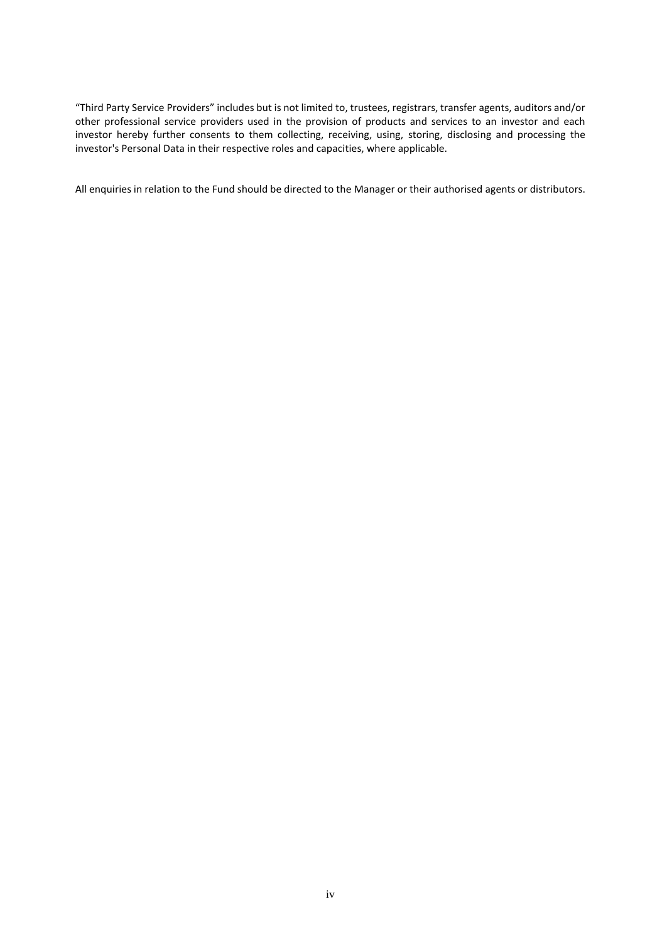"Third Party Service Providers" includes but is not limited to, trustees, registrars, transfer agents, auditors and/or other professional service providers used in the provision of products and services to an investor and each investor hereby further consents to them collecting, receiving, using, storing, disclosing and processing the investor's Personal Data in their respective roles and capacities, where applicable.

All enquiries in relation to the Fund should be directed to the Manager or their authorised agents or distributors.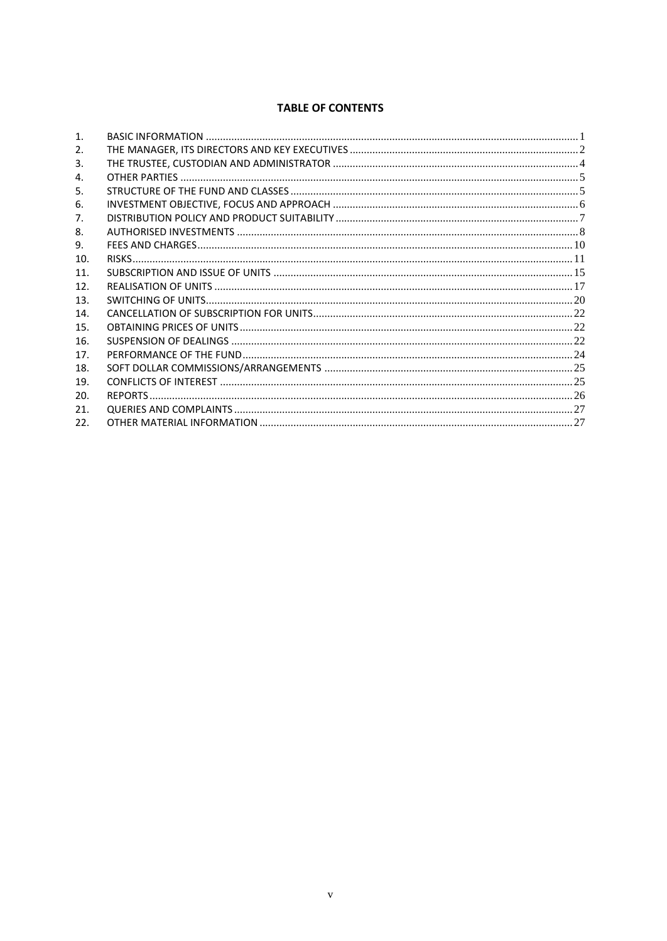# **TABLE OF CONTENTS**

| 1 <sub>1</sub>  |  |
|-----------------|--|
| 2.              |  |
| 3.              |  |
| 4.              |  |
| 5.              |  |
| 6.              |  |
| 7.              |  |
| 8.              |  |
| 9.              |  |
| 10.             |  |
| 11.             |  |
| 12 <sup>1</sup> |  |
| 13.             |  |
| 14.             |  |
| 15.             |  |
| 16.             |  |
| 17.             |  |
| 18.             |  |
| 19.             |  |
| 20.             |  |
| 21.             |  |
| 22.             |  |
|                 |  |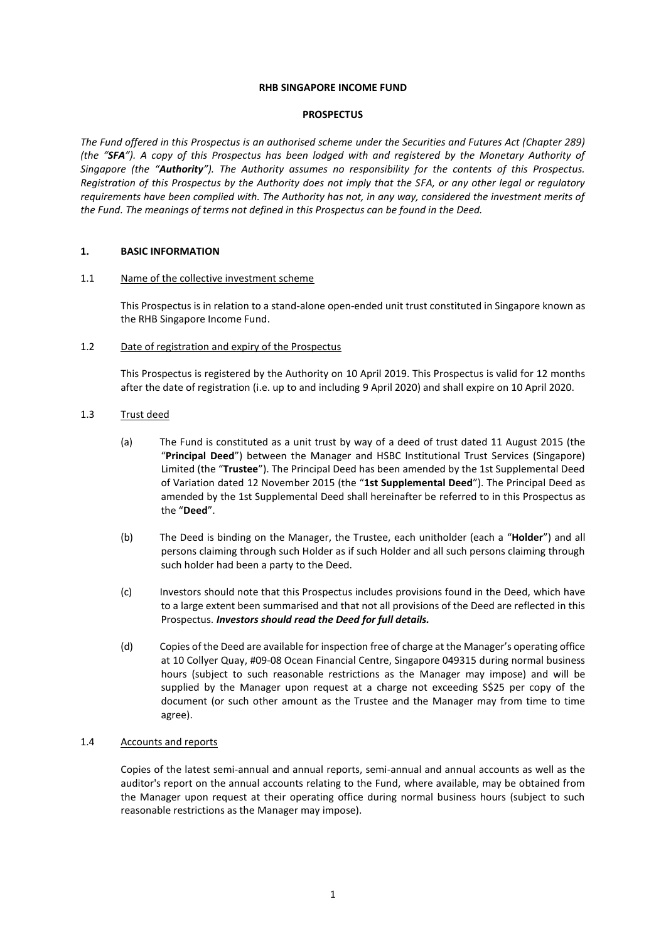#### **RHB SINGAPORE INCOME FUND**

#### **PROSPECTUS**

*The Fund offered in this Prospectus is an authorised scheme under the Securities and Futures Act (Chapter 289) (the "SFA"). A copy of this Prospectus has been lodged with and registered by the Monetary Authority of Singapore (the "Authority"). The Authority assumes no responsibility for the contents of this Prospectus. Registration of this Prospectus by the Authority does not imply that the SFA, or any other legal or regulatory requirements have been complied with. The Authority has not, in any way, considered the investment merits of the Fund. The meanings of terms not defined in this Prospectus can be found in the Deed.*

### <span id="page-7-0"></span>**1. BASIC INFORMATION**

#### 1.1 Name of the collective investment scheme

This Prospectus is in relation to a stand-alone open-ended unit trust constituted in Singapore known as the RHB Singapore Income Fund.

### 1.2 Date of registration and expiry of the Prospectus

This Prospectus is registered by the Authority on 10 April 2019. This Prospectus is valid for 12 months after the date of registration (i.e. up to and including 9 April 2020) and shall expire on 10 April 2020.

### 1.3 Trust deed

- (a) The Fund is constituted as a unit trust by way of a deed of trust dated 11 August 2015 (the "**Principal Deed**") between the Manager and HSBC Institutional Trust Services (Singapore) Limited (the "**Trustee**"). The Principal Deed has been amended by the 1st Supplemental Deed of Variation dated 12 November 2015 (the "**1st Supplemental Deed**"). The Principal Deed as amended by the 1st Supplemental Deed shall hereinafter be referred to in this Prospectus as the "**Deed**".
- (b) The Deed is binding on the Manager, the Trustee, each unitholder (each a "**Holder**") and all persons claiming through such Holder as if such Holder and all such persons claiming through such holder had been a party to the Deed.
- (c) Investors should note that this Prospectus includes provisions found in the Deed, which have to a large extent been summarised and that not all provisions of the Deed are reflected in this Prospectus. *Investors should read the Deed for full details.*
- (d) Copies of the Deed are available for inspection free of charge at the Manager's operating office at 10 Collyer Quay, #09-08 Ocean Financial Centre, Singapore 049315 during normal business hours (subject to such reasonable restrictions as the Manager may impose) and will be supplied by the Manager upon request at a charge not exceeding S\$25 per copy of the document (or such other amount as the Trustee and the Manager may from time to time agree).

# 1.4 Accounts and reports

Copies of the latest semi-annual and annual reports, semi-annual and annual accounts as well as the auditor's report on the annual accounts relating to the Fund, where available, may be obtained from the Manager upon request at their operating office during normal business hours (subject to such reasonable restrictions as the Manager may impose).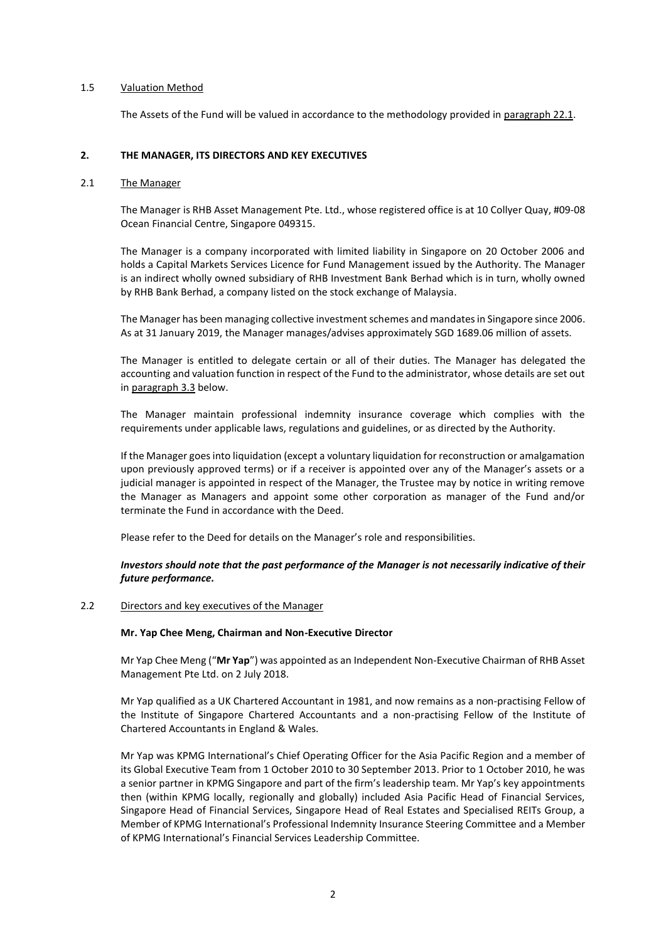### 1.5 Valuation Method

The Assets of the Fund will be valued in accordance to the methodology provided in paragraph 22.1.

# <span id="page-8-0"></span>**2. THE MANAGER, ITS DIRECTORS AND KEY EXECUTIVES**

### 2.1 The Manager

The Manager is RHB Asset Management Pte. Ltd., whose registered office is at 10 Collyer Quay, #09-08 Ocean Financial Centre, Singapore 049315.

The Manager is a company incorporated with limited liability in Singapore on 20 October 2006 and holds a Capital Markets Services Licence for Fund Management issued by the Authority. The Manager is an indirect wholly owned subsidiary of RHB Investment Bank Berhad which is in turn, wholly owned by RHB Bank Berhad, a company listed on the stock exchange of Malaysia.

The Manager has been managing collective investment schemes and mandates in Singapore since 2006. As at 31 January 2019, the Manager manages/advises approximately SGD 1689.06 million of assets.

The Manager is entitled to delegate certain or all of their duties. The Manager has delegated the accounting and valuation function in respect of the Fund to the administrator, whose details are set out in paragraph 3.3 below.

The Manager maintain professional indemnity insurance coverage which complies with the requirements under applicable laws, regulations and guidelines, or as directed by the Authority.

If the Manager goes into liquidation (except a voluntary liquidation for reconstruction or amalgamation upon previously approved terms) or if a receiver is appointed over any of the Manager's assets or a judicial manager is appointed in respect of the Manager, the Trustee may by notice in writing remove the Manager as Managers and appoint some other corporation as manager of the Fund and/or terminate the Fund in accordance with the Deed.

Please refer to the Deed for details on the Manager's role and responsibilities.

# *Investors should note that the past performance of the Manager is not necessarily indicative of their future performance.*

### 2.2 Directors and key executives of the Manager

#### **Mr. Yap Chee Meng, Chairman and Non-Executive Director**

Mr Yap Chee Meng ("**Mr Yap**") was appointed as an Independent Non-Executive Chairman of RHB Asset Management Pte Ltd. on 2 July 2018.

Mr Yap qualified as a UK Chartered Accountant in 1981, and now remains as a non-practising Fellow of the Institute of Singapore Chartered Accountants and a non-practising Fellow of the Institute of Chartered Accountants in England & Wales.

Mr Yap was KPMG International's Chief Operating Officer for the Asia Pacific Region and a member of its Global Executive Team from 1 October 2010 to 30 September 2013. Prior to 1 October 2010, he was a senior partner in KPMG Singapore and part of the firm's leadership team. Mr Yap's key appointments then (within KPMG locally, regionally and globally) included Asia Pacific Head of Financial Services, Singapore Head of Financial Services, Singapore Head of Real Estates and Specialised REITs Group, a Member of KPMG International's Professional Indemnity Insurance Steering Committee and a Member of KPMG International's Financial Services Leadership Committee.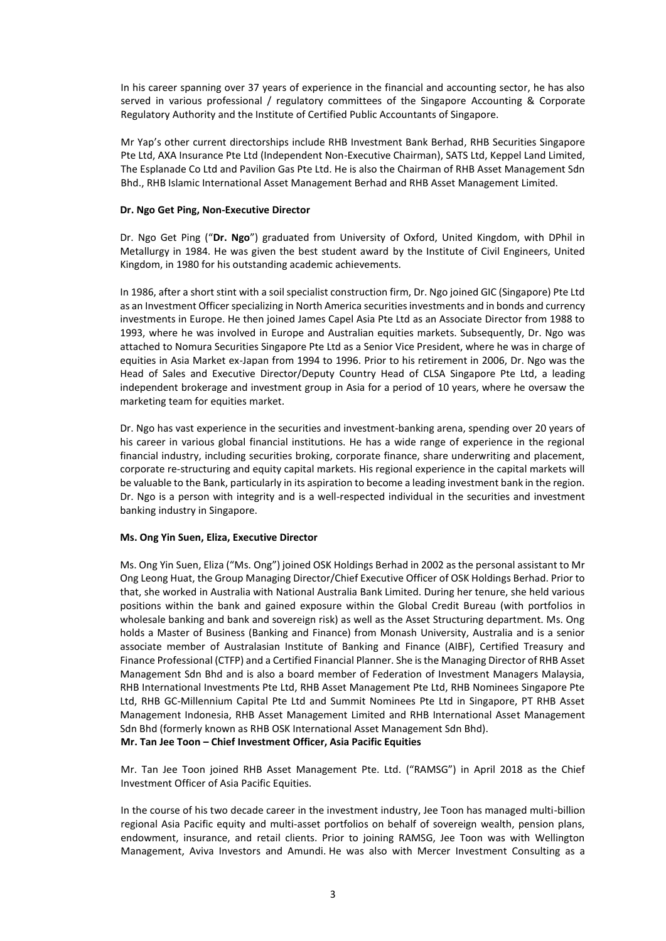In his career spanning over 37 years of experience in the financial and accounting sector, he has also served in various professional / regulatory committees of the Singapore Accounting & Corporate Regulatory Authority and the Institute of Certified Public Accountants of Singapore.

Mr Yap's other current directorships include RHB Investment Bank Berhad, RHB Securities Singapore Pte Ltd, AXA Insurance Pte Ltd (Independent Non-Executive Chairman), SATS Ltd, Keppel Land Limited, The Esplanade Co Ltd and Pavilion Gas Pte Ltd. He is also the Chairman of RHB Asset Management Sdn Bhd., RHB Islamic International Asset Management Berhad and RHB Asset Management Limited.

### **Dr. Ngo Get Ping, Non-Executive Director**

Dr. Ngo Get Ping ("**Dr. Ngo**") graduated from University of Oxford, United Kingdom, with DPhil in Metallurgy in 1984. He was given the best student award by the Institute of Civil Engineers, United Kingdom, in 1980 for his outstanding academic achievements.

In 1986, after a short stint with a soil specialist construction firm, Dr. Ngo joined GIC (Singapore) Pte Ltd as an Investment Officer specializing in North America securities investments and in bonds and currency investments in Europe. He then joined James Capel Asia Pte Ltd as an Associate Director from 1988 to 1993, where he was involved in Europe and Australian equities markets. Subsequently, Dr. Ngo was attached to Nomura Securities Singapore Pte Ltd as a Senior Vice President, where he was in charge of equities in Asia Market ex-Japan from 1994 to 1996. Prior to his retirement in 2006, Dr. Ngo was the Head of Sales and Executive Director/Deputy Country Head of CLSA Singapore Pte Ltd, a leading independent brokerage and investment group in Asia for a period of 10 years, where he oversaw the marketing team for equities market.

Dr. Ngo has vast experience in the securities and investment-banking arena, spending over 20 years of his career in various global financial institutions. He has a wide range of experience in the regional financial industry, including securities broking, corporate finance, share underwriting and placement, corporate re-structuring and equity capital markets. His regional experience in the capital markets will be valuable to the Bank, particularly in its aspiration to become a leading investment bank in the region. Dr. Ngo is a person with integrity and is a well-respected individual in the securities and investment banking industry in Singapore.

# **Ms. Ong Yin Suen, Eliza, Executive Director**

Ms. Ong Yin Suen, Eliza ("Ms. Ong") joined OSK Holdings Berhad in 2002 as the personal assistant to Mr Ong Leong Huat, the Group Managing Director/Chief Executive Officer of OSK Holdings Berhad. Prior to that, she worked in Australia with National Australia Bank Limited. During her tenure, she held various positions within the bank and gained exposure within the Global Credit Bureau (with portfolios in wholesale banking and bank and sovereign risk) as well as the Asset Structuring department. Ms. Ong holds a Master of Business (Banking and Finance) from Monash University, Australia and is a senior associate member of Australasian Institute of Banking and Finance (AIBF), Certified Treasury and Finance Professional (CTFP) and a Certified Financial Planner. She is the Managing Director of RHB Asset Management Sdn Bhd and is also a board member of Federation of Investment Managers Malaysia, RHB International Investments Pte Ltd, RHB Asset Management Pte Ltd, RHB Nominees Singapore Pte Ltd, RHB GC-Millennium Capital Pte Ltd and Summit Nominees Pte Ltd in Singapore, PT RHB Asset Management Indonesia, RHB Asset Management Limited and RHB International Asset Management Sdn Bhd (formerly known as RHB OSK International Asset Management Sdn Bhd). **Mr. Tan Jee Toon – Chief Investment Officer, Asia Pacific Equities** 

Mr. Tan Jee Toon joined RHB Asset Management Pte. Ltd. ("RAMSG") in April 2018 as the Chief Investment Officer of Asia Pacific Equities.

In the course of his two decade career in the investment industry, Jee Toon has managed multi-billion regional Asia Pacific equity and multi-asset portfolios on behalf of sovereign wealth, pension plans, endowment, insurance, and retail clients. Prior to joining RAMSG, Jee Toon was with Wellington Management, Aviva Investors and Amundi. He was also with Mercer Investment Consulting as a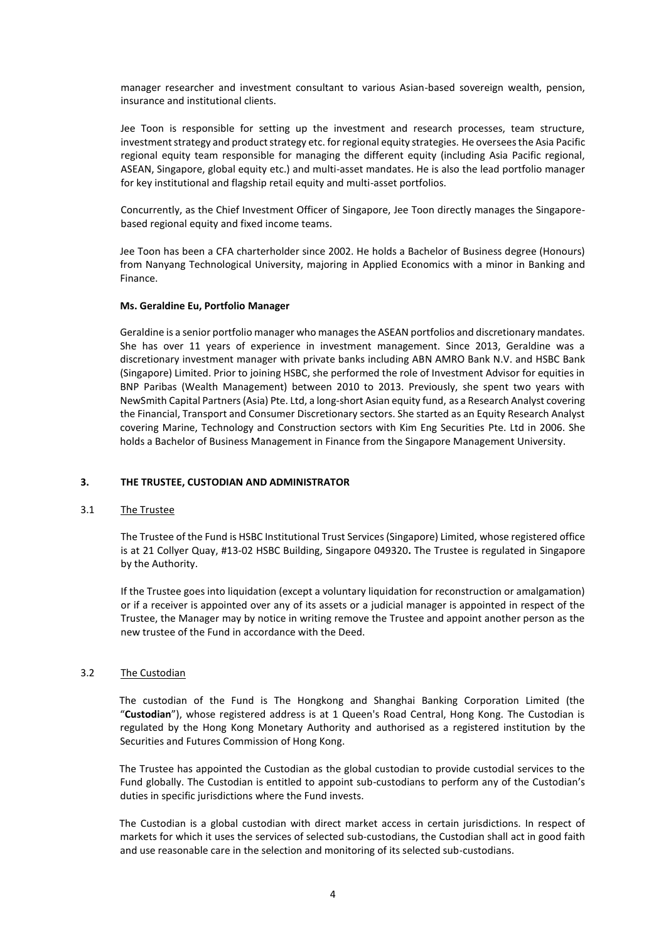manager researcher and investment consultant to various Asian-based sovereign wealth, pension, insurance and institutional clients.

Jee Toon is responsible for setting up the investment and research processes, team structure, investment strategy and product strategy etc. for regional equity strategies. He oversees the Asia Pacific regional equity team responsible for managing the different equity (including Asia Pacific regional, ASEAN, Singapore, global equity etc.) and multi-asset mandates. He is also the lead portfolio manager for key institutional and flagship retail equity and multi-asset portfolios.

Concurrently, as the Chief Investment Officer of Singapore, Jee Toon directly manages the Singaporebased regional equity and fixed income teams.

Jee Toon has been a CFA charterholder since 2002. He holds a Bachelor of Business degree (Honours) from Nanyang Technological University, majoring in Applied Economics with a minor in Banking and Finance.

#### **Ms. Geraldine Eu, Portfolio Manager**

Geraldine is a senior portfolio manager who manages the ASEAN portfolios and discretionary mandates. She has over 11 years of experience in investment management. Since 2013, Geraldine was a discretionary investment manager with private banks including ABN AMRO Bank N.V. and HSBC Bank (Singapore) Limited. Prior to joining HSBC, she performed the role of Investment Advisor for equities in BNP Paribas (Wealth Management) between 2010 to 2013. Previously, she spent two years with NewSmith Capital Partners (Asia) Pte. Ltd, a long-short Asian equity fund, as a Research Analyst covering the Financial, Transport and Consumer Discretionary sectors. She started as an Equity Research Analyst covering Marine, Technology and Construction sectors with Kim Eng Securities Pte. Ltd in 2006. She holds a Bachelor of Business Management in Finance from the Singapore Management University.

### <span id="page-10-0"></span>**3. THE TRUSTEE, CUSTODIAN AND ADMINISTRATOR**

#### 3.1 The Trustee

The Trustee of the Fund is HSBC Institutional Trust Services (Singapore) Limited, whose registered office is at 21 Collyer Quay, #13-02 HSBC Building, Singapore 049320**.** The Trustee is regulated in Singapore by the Authority.

If the Trustee goes into liquidation (except a voluntary liquidation for reconstruction or amalgamation) or if a receiver is appointed over any of its assets or a judicial manager is appointed in respect of the Trustee, the Manager may by notice in writing remove the Trustee and appoint another person as the new trustee of the Fund in accordance with the Deed.

#### 3.2 The Custodian

The custodian of the Fund is The Hongkong and Shanghai Banking Corporation Limited (the "**Custodian**"), whose registered address is at 1 Queen's Road Central, Hong Kong. The Custodian is regulated by the Hong Kong Monetary Authority and authorised as a registered institution by the Securities and Futures Commission of Hong Kong.

The Trustee has appointed the Custodian as the global custodian to provide custodial services to the Fund globally. The Custodian is entitled to appoint sub-custodians to perform any of the Custodian's duties in specific jurisdictions where the Fund invests.

The Custodian is a global custodian with direct market access in certain jurisdictions. In respect of markets for which it uses the services of selected sub-custodians, the Custodian shall act in good faith and use reasonable care in the selection and monitoring of its selected sub-custodians.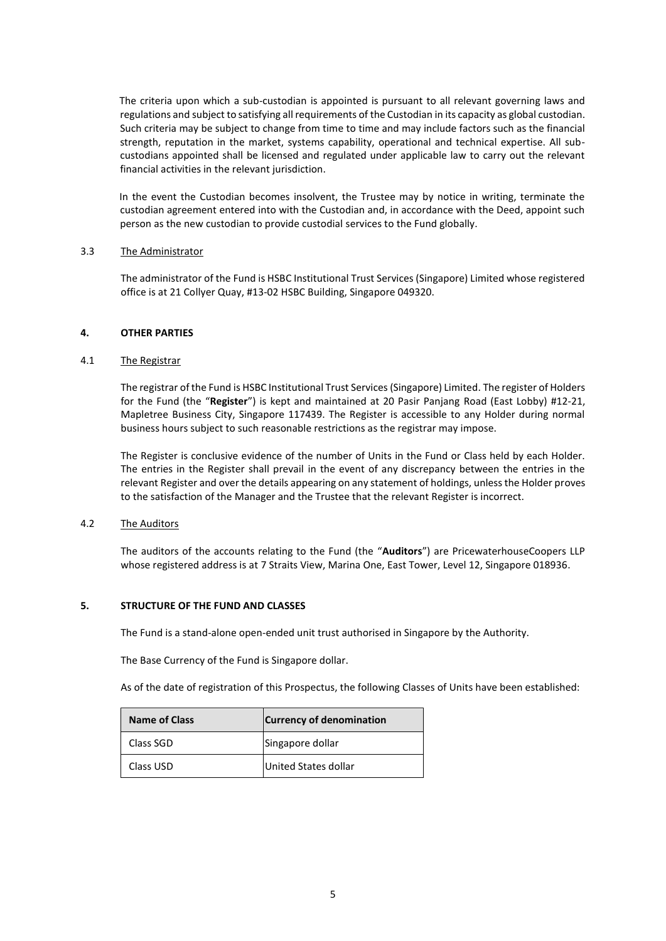The criteria upon which a sub-custodian is appointed is pursuant to all relevant governing laws and regulations and subject to satisfying all requirements of the Custodian in its capacity as global custodian. Such criteria may be subject to change from time to time and may include factors such as the financial strength, reputation in the market, systems capability, operational and technical expertise. All subcustodians appointed shall be licensed and regulated under applicable law to carry out the relevant financial activities in the relevant jurisdiction.

In the event the Custodian becomes insolvent, the Trustee may by notice in writing, terminate the custodian agreement entered into with the Custodian and, in accordance with the Deed, appoint such person as the new custodian to provide custodial services to the Fund globally.

### 3.3 The Administrator

The administrator of the Fund is HSBC Institutional Trust Services (Singapore) Limited whose registered office is at 21 Collyer Quay, #13-02 HSBC Building, Singapore 049320.

#### <span id="page-11-0"></span>**4. OTHER PARTIES**

#### 4.1 The Registrar

The registrar of the Fund is HSBC Institutional Trust Services (Singapore) Limited. The register of Holders for the Fund (the "**Register**") is kept and maintained at 20 Pasir Panjang Road (East Lobby) #12-21, Mapletree Business City, Singapore 117439. The Register is accessible to any Holder during normal business hours subject to such reasonable restrictions as the registrar may impose.

The Register is conclusive evidence of the number of Units in the Fund or Class held by each Holder. The entries in the Register shall prevail in the event of any discrepancy between the entries in the relevant Register and over the details appearing on any statement of holdings, unless the Holder proves to the satisfaction of the Manager and the Trustee that the relevant Register is incorrect.

### 4.2 The Auditors

The auditors of the accounts relating to the Fund (the "**Auditors**") are PricewaterhouseCoopers LLP whose registered address is at 7 Straits View, Marina One, East Tower, Level 12, Singapore 018936.

#### <span id="page-11-1"></span>**5. STRUCTURE OF THE FUND AND CLASSES**

The Fund is a stand-alone open-ended unit trust authorised in Singapore by the Authority.

The Base Currency of the Fund is Singapore dollar.

As of the date of registration of this Prospectus, the following Classes of Units have been established:

| <b>Name of Class</b> | <b>Currency of denomination</b> |
|----------------------|---------------------------------|
| Class SGD            | Singapore dollar                |
| Class USD            | United States dollar            |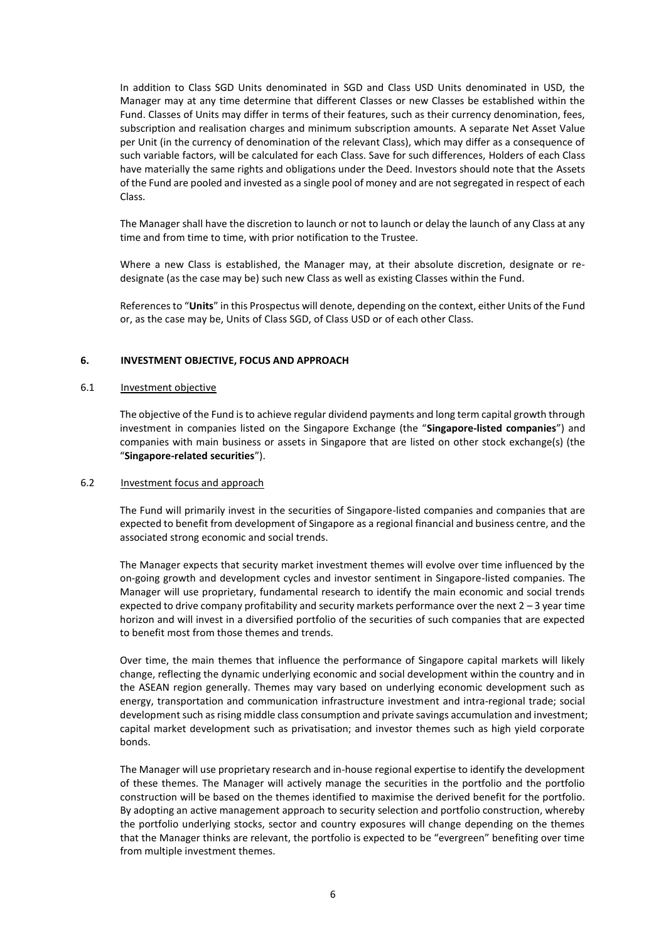In addition to Class SGD Units denominated in SGD and Class USD Units denominated in USD, the Manager may at any time determine that different Classes or new Classes be established within the Fund. Classes of Units may differ in terms of their features, such as their currency denomination, fees, subscription and realisation charges and minimum subscription amounts. A separate Net Asset Value per Unit (in the currency of denomination of the relevant Class), which may differ as a consequence of such variable factors, will be calculated for each Class. Save for such differences, Holders of each Class have materially the same rights and obligations under the Deed. Investors should note that the Assets of the Fund are pooled and invested as a single pool of money and are not segregated in respect of each Class.

The Manager shall have the discretion to launch or not to launch or delay the launch of any Class at any time and from time to time, with prior notification to the Trustee.

Where a new Class is established, the Manager may, at their absolute discretion, designate or redesignate (as the case may be) such new Class as well as existing Classes within the Fund.

References to "**Units**" in this Prospectus will denote, depending on the context, either Units of the Fund or, as the case may be, Units of Class SGD, of Class USD or of each other Class.

### <span id="page-12-0"></span>**6. INVESTMENT OBJECTIVE, FOCUS AND APPROACH**

#### 6.1 Investment objective

The objective of the Fund is to achieve regular dividend payments and long term capital growth through investment in companies listed on the Singapore Exchange (the "**Singapore-listed companies**") and companies with main business or assets in Singapore that are listed on other stock exchange(s) (the "**Singapore-related securities**").

#### 6.2 Investment focus and approach

The Fund will primarily invest in the securities of Singapore-listed companies and companies that are expected to benefit from development of Singapore as a regional financial and business centre, and the associated strong economic and social trends.

The Manager expects that security market investment themes will evolve over time influenced by the on-going growth and development cycles and investor sentiment in Singapore-listed companies. The Manager will use proprietary, fundamental research to identify the main economic and social trends expected to drive company profitability and security markets performance over the next 2 – 3 year time horizon and will invest in a diversified portfolio of the securities of such companies that are expected to benefit most from those themes and trends.

Over time, the main themes that influence the performance of Singapore capital markets will likely change, reflecting the dynamic underlying economic and social development within the country and in the ASEAN region generally. Themes may vary based on underlying economic development such as energy, transportation and communication infrastructure investment and intra-regional trade; social development such as rising middle class consumption and private savings accumulation and investment; capital market development such as privatisation; and investor themes such as high yield corporate bonds.

The Manager will use proprietary research and in-house regional expertise to identify the development of these themes. The Manager will actively manage the securities in the portfolio and the portfolio construction will be based on the themes identified to maximise the derived benefit for the portfolio. By adopting an active management approach to security selection and portfolio construction, whereby the portfolio underlying stocks, sector and country exposures will change depending on the themes that the Manager thinks are relevant, the portfolio is expected to be "evergreen" benefiting over time from multiple investment themes.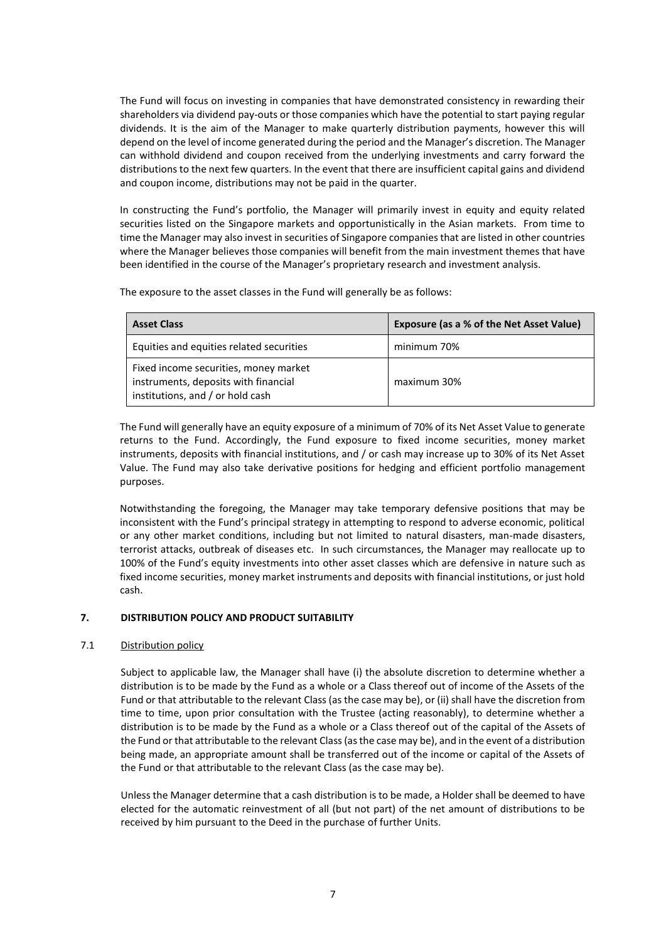The Fund will focus on investing in companies that have demonstrated consistency in rewarding their shareholders via dividend pay-outs or those companies which have the potential to start paying regular dividends. It is the aim of the Manager to make quarterly distribution payments, however this will depend on the level of income generated during the period and the Manager's discretion. The Manager can withhold dividend and coupon received from the underlying investments and carry forward the distributions to the next few quarters. In the event that there are insufficient capital gains and dividend and coupon income, distributions may not be paid in the quarter.

In constructing the Fund's portfolio, the Manager will primarily invest in equity and equity related securities listed on the Singapore markets and opportunistically in the Asian markets. From time to time the Manager may also invest in securities of Singapore companies that are listed in other countries where the Manager believes those companies will benefit from the main investment themes that have been identified in the course of the Manager's proprietary research and investment analysis.

The exposure to the asset classes in the Fund will generally be as follows:

| <b>Asset Class</b>                                                                                                | Exposure (as a % of the Net Asset Value) |
|-------------------------------------------------------------------------------------------------------------------|------------------------------------------|
| Equities and equities related securities                                                                          | minimum 70%                              |
| Fixed income securities, money market<br>instruments, deposits with financial<br>institutions, and / or hold cash | maximum 30%                              |

The Fund will generally have an equity exposure of a minimum of 70% of its Net Asset Value to generate returns to the Fund. Accordingly, the Fund exposure to fixed income securities, money market instruments, deposits with financial institutions, and / or cash may increase up to 30% of its Net Asset Value. The Fund may also take derivative positions for hedging and efficient portfolio management purposes.

Notwithstanding the foregoing, the Manager may take temporary defensive positions that may be inconsistent with the Fund's principal strategy in attempting to respond to adverse economic, political or any other market conditions, including but not limited to natural disasters, man-made disasters, terrorist attacks, outbreak of diseases etc. In such circumstances, the Manager may reallocate up to 100% of the Fund's equity investments into other asset classes which are defensive in nature such as fixed income securities, money market instruments and deposits with financial institutions, or just hold cash.

# <span id="page-13-0"></span>**7. DISTRIBUTION POLICY AND PRODUCT SUITABILITY**

# 7.1 Distribution policy

Subject to applicable law, the Manager shall have (i) the absolute discretion to determine whether a distribution is to be made by the Fund as a whole or a Class thereof out of income of the Assets of the Fund or that attributable to the relevant Class (as the case may be), or (ii) shall have the discretion from time to time, upon prior consultation with the Trustee (acting reasonably), to determine whether a distribution is to be made by the Fund as a whole or a Class thereof out of the capital of the Assets of the Fund or that attributable to the relevant Class (as the case may be), and in the event of a distribution being made, an appropriate amount shall be transferred out of the income or capital of the Assets of the Fund or that attributable to the relevant Class (as the case may be).

Unless the Manager determine that a cash distribution is to be made, a Holder shall be deemed to have elected for the automatic reinvestment of all (but not part) of the net amount of distributions to be received by him pursuant to the Deed in the purchase of further Units.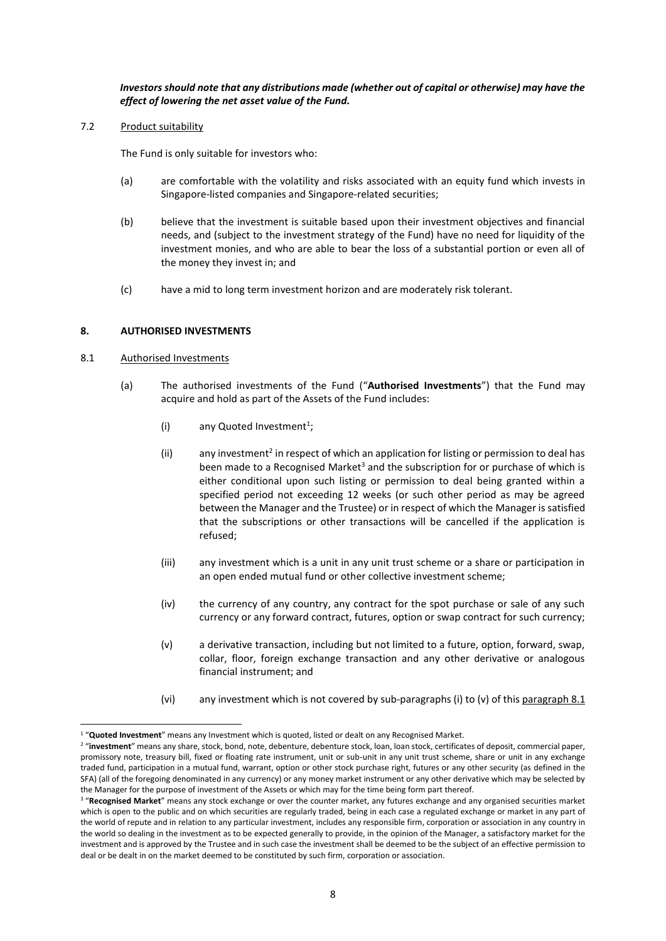*Investors should note that any distributions made (whether out of capital or otherwise) may have the effect of lowering the net asset value of the Fund.*

7.2 Product suitability

The Fund is only suitable for investors who:

- (a) are comfortable with the volatility and risks associated with an equity fund which invests in Singapore-listed companies and Singapore-related securities;
- (b) believe that the investment is suitable based upon their investment objectives and financial needs, and (subject to the investment strategy of the Fund) have no need for liquidity of the investment monies, and who are able to bear the loss of a substantial portion or even all of the money they invest in; and
- (c) have a mid to long term investment horizon and are moderately risk tolerant.

# <span id="page-14-0"></span>**8. AUTHORISED INVESTMENTS**

### 8.1 Authorised Investments

1

- (a) The authorised investments of the Fund ("**Authorised Investments**") that the Fund may acquire and hold as part of the Assets of the Fund includes:
	- (i) any Quoted Investment<sup>1</sup>;
	- (ii) any investment<sup>2</sup> in respect of which an application for listing or permission to deal has been made to a Recognised Market<sup>3</sup> and the subscription for or purchase of which is either conditional upon such listing or permission to deal being granted within a specified period not exceeding 12 weeks (or such other period as may be agreed between the Manager and the Trustee) or in respect of which the Manager is satisfied that the subscriptions or other transactions will be cancelled if the application is refused;
	- (iii) any investment which is a unit in any unit trust scheme or a share or participation in an open ended mutual fund or other collective investment scheme;
	- (iv) the currency of any country, any contract for the spot purchase or sale of any such currency or any forward contract, futures, option or swap contract for such currency;
	- (v) a derivative transaction, including but not limited to a future, option, forward, swap, collar, floor, foreign exchange transaction and any other derivative or analogous financial instrument; and
	- (vi) any investment which is not covered by sub-paragraphs (i) to (v) of this paragraph  $8.1$

<sup>1</sup> "**Quoted Investment**" means any Investment which is quoted, listed or dealt on any Recognised Market.

<sup>&</sup>lt;sup>2</sup> "investment" means any share, stock, bond, note, debenture, debenture stock, loan, loan stock, certificates of deposit, commercial paper, promissory note, treasury bill, fixed or floating rate instrument, unit or sub-unit in any unit trust scheme, share or unit in any exchange traded fund, participation in a mutual fund, warrant, option or other stock purchase right, futures or any other security (as defined in the SFA) (all of the foregoing denominated in any currency) or any money market instrument or any other derivative which may be selected by the Manager for the purpose of investment of the Assets or which may for the time being form part thereof.

<sup>&</sup>lt;sup>3</sup> "Recognised Market" means any stock exchange or over the counter market, any futures exchange and any organised securities market which is open to the public and on which securities are regularly traded, being in each case a regulated exchange or market in any part of the world of repute and in relation to any particular investment, includes any responsible firm, corporation or association in any country in the world so dealing in the investment as to be expected generally to provide, in the opinion of the Manager, a satisfactory market for the investment and is approved by the Trustee and in such case the investment shall be deemed to be the subject of an effective permission to deal or be dealt in on the market deemed to be constituted by such firm, corporation or association.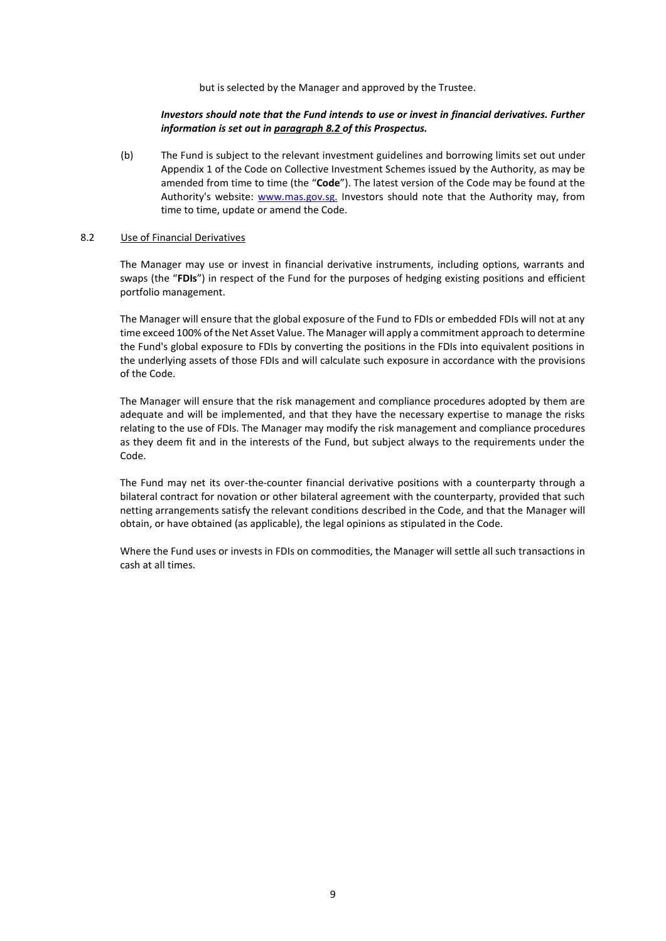but is selected by the Manager and approved by the Trustee.

### *Investors should note that the Fund intends to use or invest in financial derivatives. Further information is set out in paragraph 8.2 of this Prospectus.*

(b) The Fund is subject to the relevant investment guidelines and borrowing limits set out under Appendix 1 of the Code on Collective Investment Schemes issued by the Authority, as may be amended from time to time (the "**Code**"). The latest version of the Code may be found at the Authority's website: [www.mas.gov.sg.](http://www.mas.gov.sg/) Investors should note that the Authority may, from time to time, update or amend the Code.

# 8.2 Use of Financial Derivatives

The Manager may use or invest in financial derivative instruments, including options, warrants and swaps (the "**FDIs**") in respect of the Fund for the purposes of hedging existing positions and efficient portfolio management.

The Manager will ensure that the global exposure of the Fund to FDIs or embedded FDIs will not at any time exceed 100% of the Net Asset Value. The Manager will apply a commitment approach to determine the Fund's global exposure to FDIs by converting the positions in the FDIs into equivalent positions in the underlying assets of those FDIs and will calculate such exposure in accordance with the provisions of the Code.

The Manager will ensure that the risk management and compliance procedures adopted by them are adequate and will be implemented, and that they have the necessary expertise to manage the risks relating to the use of FDIs. The Manager may modify the risk management and compliance procedures as they deem fit and in the interests of the Fund, but subject always to the requirements under the Code.

The Fund may net its over-the-counter financial derivative positions with a counterparty through a bilateral contract for novation or other bilateral agreement with the counterparty, provided that such netting arrangements satisfy the relevant conditions described in the Code, and that the Manager will obtain, or have obtained (as applicable), the legal opinions as stipulated in the Code.

Where the Fund uses or invests in FDIs on commodities, the Manager will settle all such transactions in cash at all times.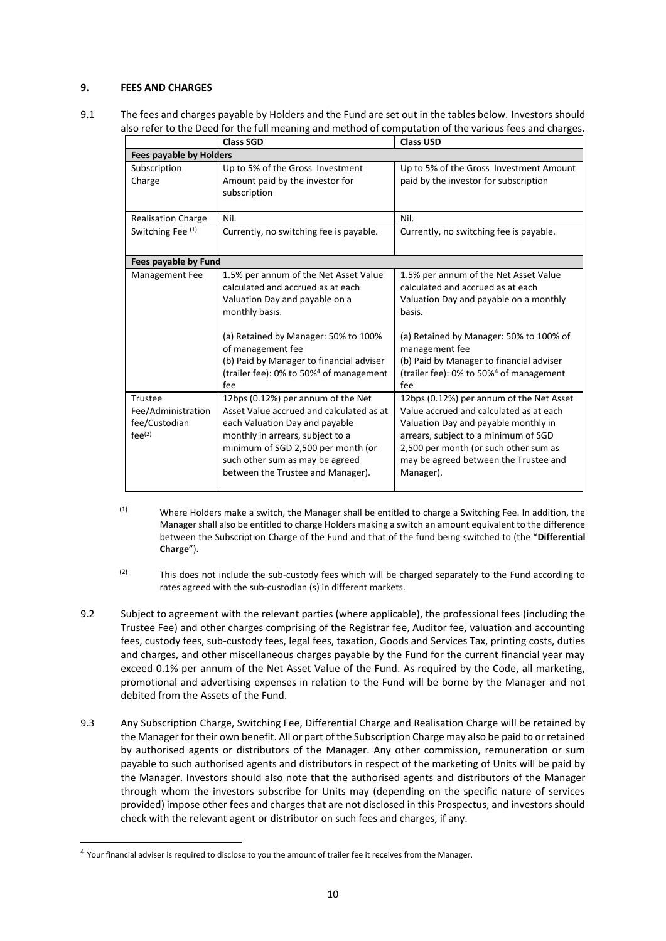# <span id="page-16-0"></span>**9. FEES AND CHARGES**

9.1 The fees and charges payable by Holders and the Fund are set out in the tables below. Investors should also refer to the Deed for the full meaning and method of computation of the various fees and charges.

|                                                               | <b>Class SGD</b>                                                                                                                                                                                                                                                                                      | <b>Class USD</b>                                                                                                                                                                                                                                                                                      |  |  |
|---------------------------------------------------------------|-------------------------------------------------------------------------------------------------------------------------------------------------------------------------------------------------------------------------------------------------------------------------------------------------------|-------------------------------------------------------------------------------------------------------------------------------------------------------------------------------------------------------------------------------------------------------------------------------------------------------|--|--|
| <b>Fees payable by Holders</b>                                |                                                                                                                                                                                                                                                                                                       |                                                                                                                                                                                                                                                                                                       |  |  |
| Subscription<br>Charge                                        | Up to 5% of the Gross Investment<br>Amount paid by the investor for<br>subscription                                                                                                                                                                                                                   | Up to 5% of the Gross Investment Amount<br>paid by the investor for subscription                                                                                                                                                                                                                      |  |  |
| Realisation Charge                                            | Nil.                                                                                                                                                                                                                                                                                                  | Nil.                                                                                                                                                                                                                                                                                                  |  |  |
| Switching Fee (1)                                             | Currently, no switching fee is payable.                                                                                                                                                                                                                                                               | Currently, no switching fee is payable.                                                                                                                                                                                                                                                               |  |  |
| Fees payable by Fund                                          |                                                                                                                                                                                                                                                                                                       |                                                                                                                                                                                                                                                                                                       |  |  |
| Management Fee                                                | 1.5% per annum of the Net Asset Value<br>calculated and accrued as at each<br>Valuation Day and payable on a<br>monthly basis.<br>(a) Retained by Manager: 50% to 100%<br>of management fee<br>(b) Paid by Manager to financial adviser<br>(trailer fee): 0% to 50% <sup>4</sup> of management<br>fee | 1.5% per annum of the Net Asset Value<br>calculated and accrued as at each<br>Valuation Day and payable on a monthly<br>basis.<br>(a) Retained by Manager: 50% to 100% of<br>management fee<br>(b) Paid by Manager to financial adviser<br>(trailer fee): 0% to 50% <sup>4</sup> of management<br>fee |  |  |
| Trustee<br>Fee/Administration<br>fee/Custodian<br>$fee^{(2)}$ | 12bps (0.12%) per annum of the Net<br>Asset Value accrued and calculated as at<br>each Valuation Day and payable<br>monthly in arrears, subject to a<br>minimum of SGD 2,500 per month (or<br>such other sum as may be agreed<br>between the Trustee and Manager).                                    | 12bps (0.12%) per annum of the Net Asset<br>Value accrued and calculated as at each<br>Valuation Day and payable monthly in<br>arrears, subject to a minimum of SGD<br>2,500 per month (or such other sum as<br>may be agreed between the Trustee and<br>Manager).                                    |  |  |

- $(1)$  Where Holders make a switch, the Manager shall be entitled to charge a Switching Fee. In addition, the Manager shall also be entitled to charge Holders making a switch an amount equivalent to the difference between the Subscription Charge of the Fund and that of the fund being switched to (the "**Differential Charge**").
- (2) This does not include the sub-custody fees which will be charged separately to the Fund according to rates agreed with the sub-custodian (s) in different markets.
- 9.2 Subject to agreement with the relevant parties (where applicable), the professional fees (including the Trustee Fee) and other charges comprising of the Registrar fee, Auditor fee, valuation and accounting fees, custody fees, sub-custody fees, legal fees, taxation, Goods and Services Tax, printing costs, duties and charges, and other miscellaneous charges payable by the Fund for the current financial year may exceed 0.1% per annum of the Net Asset Value of the Fund. As required by the Code, all marketing, promotional and advertising expenses in relation to the Fund will be borne by the Manager and not debited from the Assets of the Fund.
- 9.3 Any Subscription Charge, Switching Fee, Differential Charge and Realisation Charge will be retained by the Manager for their own benefit. All or part of the Subscription Charge may also be paid to or retained by authorised agents or distributors of the Manager. Any other commission, remuneration or sum payable to such authorised agents and distributors in respect of the marketing of Units will be paid by the Manager. Investors should also note that the authorised agents and distributors of the Manager through whom the investors subscribe for Units may (depending on the specific nature of services provided) impose other fees and charges that are not disclosed in this Prospectus, and investors should check with the relevant agent or distributor on such fees and charges, if any.

-

 $<sup>4</sup>$  Your financial adviser is required to disclose to you the amount of trailer fee it receives from the Manager.</sup>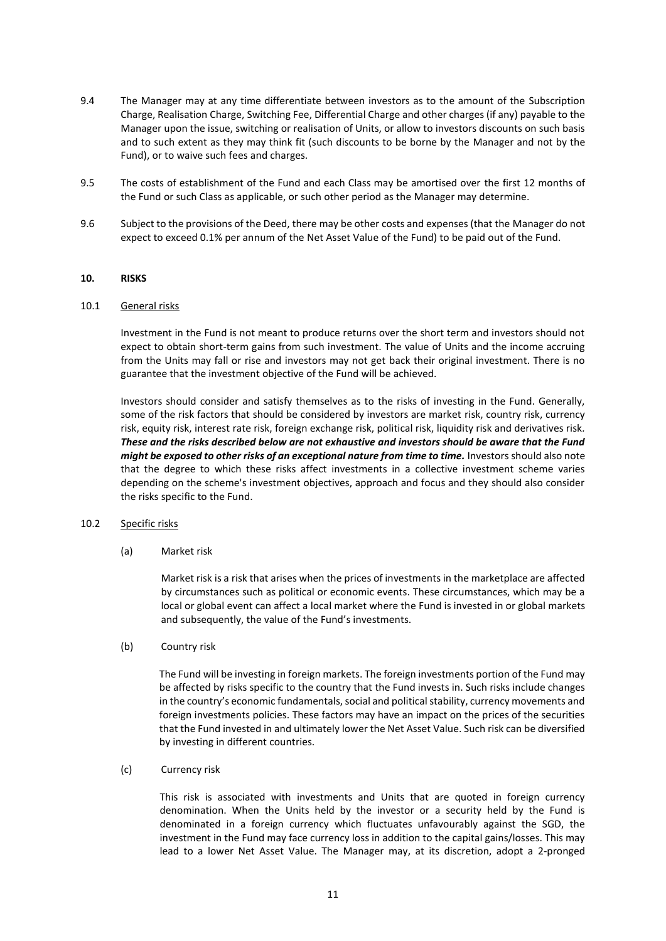- 9.4 The Manager may at any time differentiate between investors as to the amount of the Subscription Charge, Realisation Charge, Switching Fee, Differential Charge and other charges (if any) payable to the Manager upon the issue, switching or realisation of Units, or allow to investors discounts on such basis and to such extent as they may think fit (such discounts to be borne by the Manager and not by the Fund), or to waive such fees and charges.
- 9.5 The costs of establishment of the Fund and each Class may be amortised over the first 12 months of the Fund or such Class as applicable, or such other period as the Manager may determine.
- 9.6 Subject to the provisions of the Deed, there may be other costs and expenses (that the Manager do not expect to exceed 0.1% per annum of the Net Asset Value of the Fund) to be paid out of the Fund.

### <span id="page-17-0"></span>**10. RISKS**

### 10.1 General risks

Investment in the Fund is not meant to produce returns over the short term and investors should not expect to obtain short-term gains from such investment. The value of Units and the income accruing from the Units may fall or rise and investors may not get back their original investment. There is no guarantee that the investment objective of the Fund will be achieved.

Investors should consider and satisfy themselves as to the risks of investing in the Fund. Generally, some of the risk factors that should be considered by investors are market risk, country risk, currency risk, equity risk, interest rate risk, foreign exchange risk, political risk, liquidity risk and derivatives risk*. These and the risks described below are not exhaustive and investors should be aware that the Fund might be exposed to other risks of an exceptional nature from time to time.* Investors should also note that the degree to which these risks affect investments in a collective investment scheme varies depending on the scheme's investment objectives, approach and focus and they should also consider the risks specific to the Fund.

# 10.2 Specific risks

(a) Market risk

Market risk is a risk that arises when the prices of investments in the marketplace are affected by circumstances such as political or economic events. These circumstances, which may be a local or global event can affect a local market where the Fund is invested in or global markets and subsequently, the value of the Fund's investments.

(b) Country risk

The Fund will be investing in foreign markets. The foreign investments portion of the Fund may be affected by risks specific to the country that the Fund invests in. Such risks include changes in the country's economic fundamentals, social and political stability, currency movements and foreign investments policies. These factors may have an impact on the prices of the securities that the Fund invested in and ultimately lower the Net Asset Value. Such risk can be diversified by investing in different countries.

(c) Currency risk

This risk is associated with investments and Units that are quoted in foreign currency denomination. When the Units held by the investor or a security held by the Fund is denominated in a foreign currency which fluctuates unfavourably against the SGD, the investment in the Fund may face currency loss in addition to the capital gains/losses. This may lead to a lower Net Asset Value. The Manager may, at its discretion, adopt a 2-pronged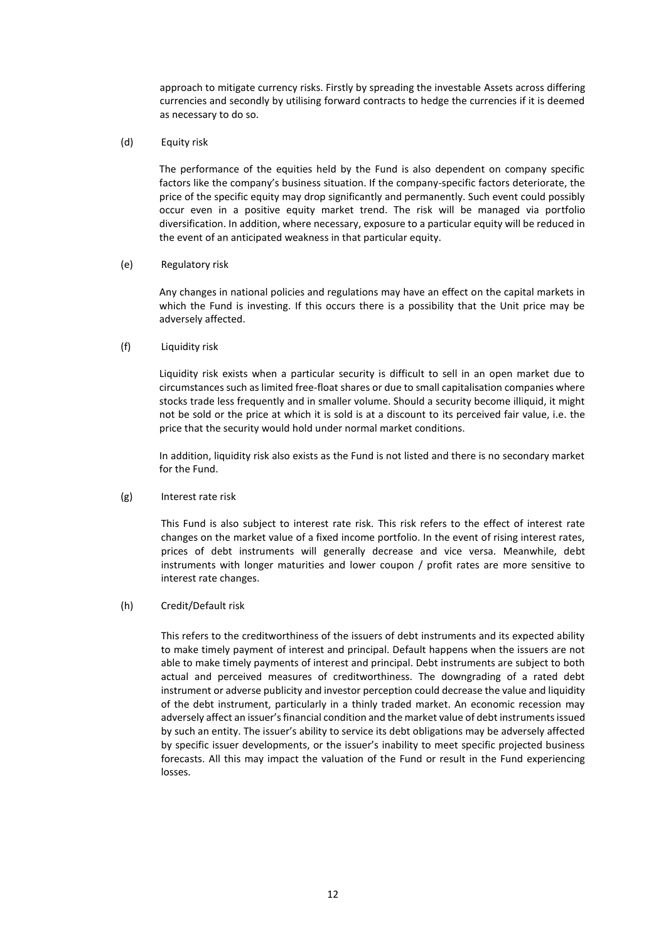approach to mitigate currency risks. Firstly by spreading the investable Assets across differing currencies and secondly by utilising forward contracts to hedge the currencies if it is deemed as necessary to do so.

(d) Equity risk

The performance of the equities held by the Fund is also dependent on company specific factors like the company's business situation. If the company-specific factors deteriorate, the price of the specific equity may drop significantly and permanently. Such event could possibly occur even in a positive equity market trend. The risk will be managed via portfolio diversification. In addition, where necessary, exposure to a particular equity will be reduced in the event of an anticipated weakness in that particular equity.

### (e) Regulatory risk

Any changes in national policies and regulations may have an effect on the capital markets in which the Fund is investing. If this occurs there is a possibility that the Unit price may be adversely affected.

# (f) Liquidity risk

Liquidity risk exists when a particular security is difficult to sell in an open market due to circumstances such as limited free-float shares or due to small capitalisation companies where stocks trade less frequently and in smaller volume. Should a security become illiquid, it might not be sold or the price at which it is sold is at a discount to its perceived fair value, i.e. the price that the security would hold under normal market conditions.

In addition, liquidity risk also exists as the Fund is not listed and there is no secondary market for the Fund.

# (g) Interest rate risk

This Fund is also subject to interest rate risk. This risk refers to the effect of interest rate changes on the market value of a fixed income portfolio. In the event of rising interest rates, prices of debt instruments will generally decrease and vice versa. Meanwhile, debt instruments with longer maturities and lower coupon / profit rates are more sensitive to interest rate changes.

### (h) Credit/Default risk

This refers to the creditworthiness of the issuers of debt instruments and its expected ability to make timely payment of interest and principal. Default happens when the issuers are not able to make timely payments of interest and principal. Debt instruments are subject to both actual and perceived measures of creditworthiness. The downgrading of a rated debt instrument or adverse publicity and investor perception could decrease the value and liquidity of the debt instrument, particularly in a thinly traded market. An economic recession may adversely affect an issuer's financial condition and the market value of debt instruments issued by such an entity. The issuer's ability to service its debt obligations may be adversely affected by specific issuer developments, or the issuer's inability to meet specific projected business forecasts. All this may impact the valuation of the Fund or result in the Fund experiencing losses.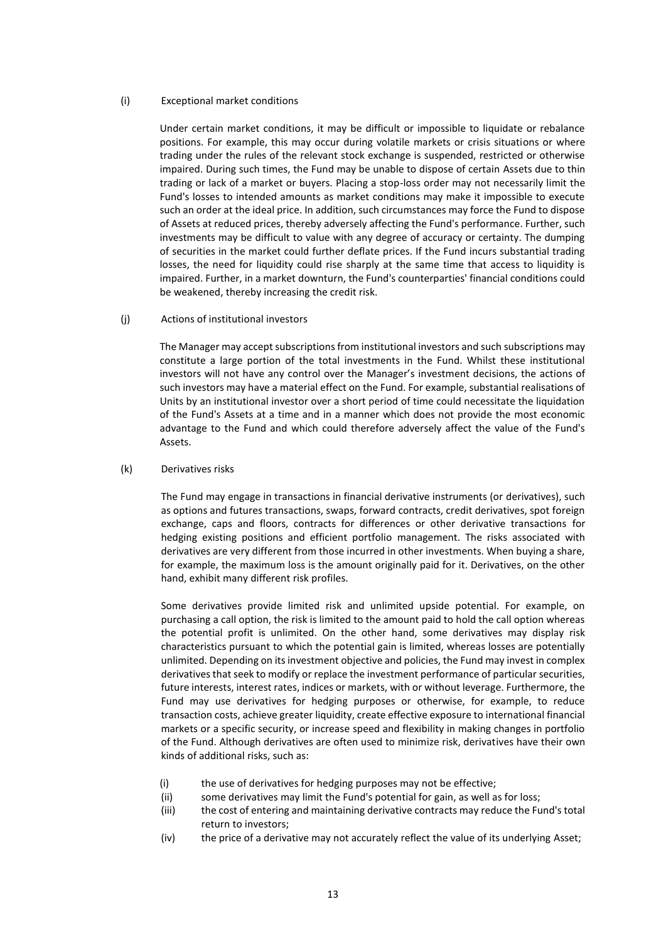### (i) Exceptional market conditions

Under certain market conditions, it may be difficult or impossible to liquidate or rebalance positions. For example, this may occur during volatile markets or crisis situations or where trading under the rules of the relevant stock exchange is suspended, restricted or otherwise impaired. During such times, the Fund may be unable to dispose of certain Assets due to thin trading or lack of a market or buyers. Placing a stop-loss order may not necessarily limit the Fund's losses to intended amounts as market conditions may make it impossible to execute such an order at the ideal price. In addition, such circumstances may force the Fund to dispose of Assets at reduced prices, thereby adversely affecting the Fund's performance. Further, such investments may be difficult to value with any degree of accuracy or certainty. The dumping of securities in the market could further deflate prices. If the Fund incurs substantial trading losses, the need for liquidity could rise sharply at the same time that access to liquidity is impaired. Further, in a market downturn, the Fund's counterparties' financial conditions could be weakened, thereby increasing the credit risk.

(j) Actions of institutional investors

The Manager may accept subscriptions from institutional investors and such subscriptions may constitute a large portion of the total investments in the Fund. Whilst these institutional investors will not have any control over the Manager's investment decisions, the actions of such investors may have a material effect on the Fund. For example, substantial realisations of Units by an institutional investor over a short period of time could necessitate the liquidation of the Fund's Assets at a time and in a manner which does not provide the most economic advantage to the Fund and which could therefore adversely affect the value of the Fund's Assets.

# (k) Derivatives risks

The Fund may engage in transactions in financial derivative instruments (or derivatives), such as options and futures transactions, swaps, forward contracts, credit derivatives, spot foreign exchange, caps and floors, contracts for differences or other derivative transactions for hedging existing positions and efficient portfolio management. The risks associated with derivatives are very different from those incurred in other investments. When buying a share, for example, the maximum loss is the amount originally paid for it. Derivatives, on the other hand, exhibit many different risk profiles.

Some derivatives provide limited risk and unlimited upside potential. For example, on purchasing a call option, the risk is limited to the amount paid to hold the call option whereas the potential profit is unlimited. On the other hand, some derivatives may display risk characteristics pursuant to which the potential gain is limited, whereas losses are potentially unlimited. Depending on its investment objective and policies, the Fund may invest in complex derivatives that seek to modify or replace the investment performance of particular securities, future interests, interest rates, indices or markets, with or without leverage. Furthermore, the Fund may use derivatives for hedging purposes or otherwise, for example, to reduce transaction costs, achieve greater liquidity, create effective exposure to international financial markets or a specific security, or increase speed and flexibility in making changes in portfolio of the Fund. Although derivatives are often used to minimize risk, derivatives have their own kinds of additional risks, such as:

- (i) the use of derivatives for hedging purposes may not be effective;
- (ii) some derivatives may limit the Fund's potential for gain, as well as for loss;
- (iii) the cost of entering and maintaining derivative contracts may reduce the Fund's total return to investors;
- (iv) the price of a derivative may not accurately reflect the value of its underlying Asset;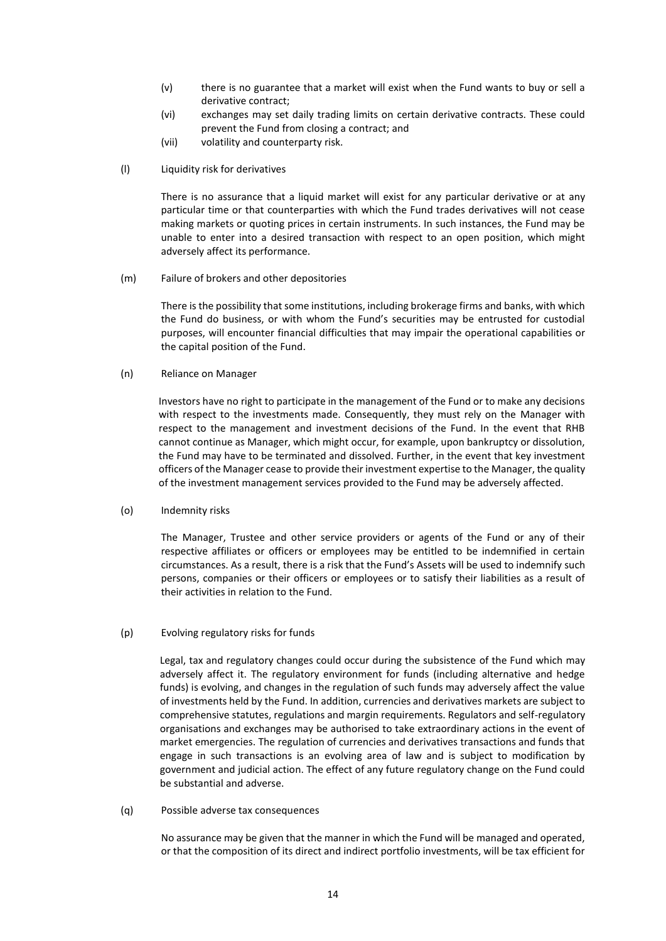- (v) there is no guarantee that a market will exist when the Fund wants to buy or sell a derivative contract;
- (vi) exchanges may set daily trading limits on certain derivative contracts. These could prevent the Fund from closing a contract; and
- (vii) volatility and counterparty risk.
- (l) Liquidity risk for derivatives

There is no assurance that a liquid market will exist for any particular derivative or at any particular time or that counterparties with which the Fund trades derivatives will not cease making markets or quoting prices in certain instruments. In such instances, the Fund may be unable to enter into a desired transaction with respect to an open position, which might adversely affect its performance.

(m) Failure of brokers and other depositories

There is the possibility that some institutions, including brokerage firms and banks, with which the Fund do business, or with whom the Fund's securities may be entrusted for custodial purposes, will encounter financial difficulties that may impair the operational capabilities or the capital position of the Fund.

(n) Reliance on Manager

Investors have no right to participate in the management of the Fund or to make any decisions with respect to the investments made. Consequently, they must rely on the Manager with respect to the management and investment decisions of the Fund. In the event that RHB cannot continue as Manager, which might occur, for example, upon bankruptcy or dissolution, the Fund may have to be terminated and dissolved. Further, in the event that key investment officers of the Manager cease to provide their investment expertise to the Manager, the quality of the investment management services provided to the Fund may be adversely affected.

(o) Indemnity risks

The Manager, Trustee and other service providers or agents of the Fund or any of their respective affiliates or officers or employees may be entitled to be indemnified in certain circumstances. As a result, there is a risk that the Fund's Assets will be used to indemnify such persons, companies or their officers or employees or to satisfy their liabilities as a result of their activities in relation to the Fund.

(p) Evolving regulatory risks for funds

Legal, tax and regulatory changes could occur during the subsistence of the Fund which may adversely affect it. The regulatory environment for funds (including alternative and hedge funds) is evolving, and changes in the regulation of such funds may adversely affect the value of investments held by the Fund. In addition, currencies and derivatives markets are subject to comprehensive statutes, regulations and margin requirements. Regulators and self-regulatory organisations and exchanges may be authorised to take extraordinary actions in the event of market emergencies. The regulation of currencies and derivatives transactions and funds that engage in such transactions is an evolving area of law and is subject to modification by government and judicial action. The effect of any future regulatory change on the Fund could be substantial and adverse.

(q) Possible adverse tax consequences

No assurance may be given that the manner in which the Fund will be managed and operated, or that the composition of its direct and indirect portfolio investments, will be tax efficient for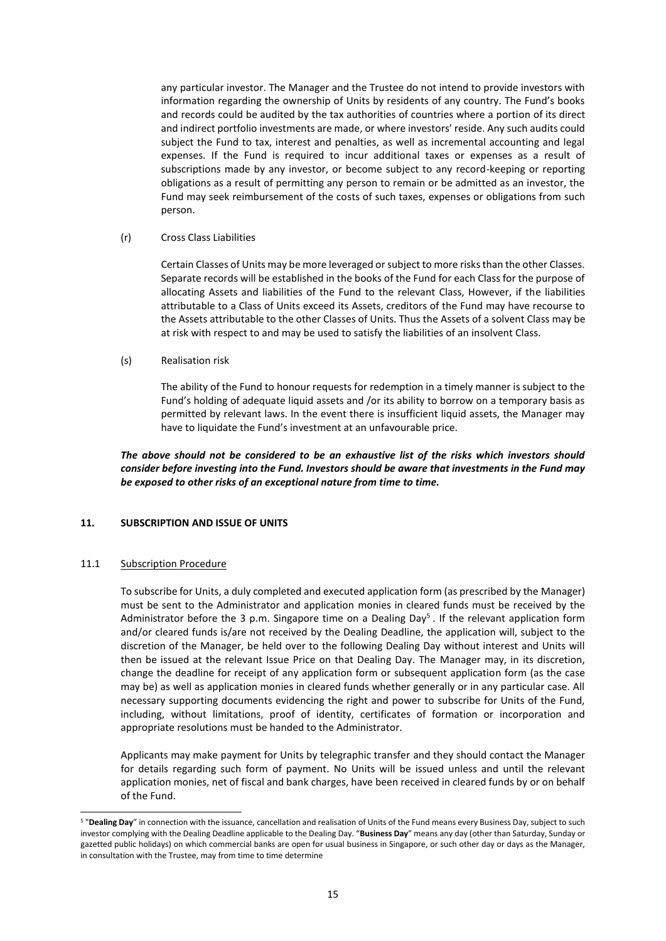any particular investor. The Manager and the Trustee do not intend to provide investors with information regarding the ownership of Units by residents of any country. The Fund's books and records could be audited by the tax authorities of countries where a portion of its direct and indirect portfolio investments are made, or where investors' reside. Any such audits could subject the Fund to tax, interest and penalties, as well as incremental accounting and legal expenses. If the Fund is required to incur additional taxes or expenses as a result of subscriptions made by any investor, or become subject to any record-keeping or reporting obligations as a result of permitting any person to remain or be admitted as an investor, the Fund may seek reimbursement of the costs of such taxes, expenses or obligations from such person.

### (r) Cross Class Liabilities

Certain Classes of Units may be more leveraged or subject to more risks than the other Classes. Separate records will be established in the books of the Fund for each Class for the purpose of allocating Assets and liabilities of the Fund to the relevant Class, However, if the liabilities attributable to a Class of Units exceed its Assets, creditors of the Fund may have recourse to the Assets attributable to the other Classes of Units. Thus the Assets of a solvent Class may be at risk with respect to and may be used to satisfy the liabilities of an insolvent Class.

### (s) Realisation risk

The ability of the Fund to honour requests for redemption in a timely manner is subject to the Fund's holding of adequate liquid assets and /or its ability to borrow on a temporary basis as permitted by relevant laws. In the event there is insufficient liquid assets, the Manager may have to liquidate the Fund's investment at an unfavourable price.

*The above should not be considered to be an exhaustive list of the risks which investors should consider before investing into the Fund. Investors should be aware that investments in the Fund may be exposed to other risks of an exceptional nature from time to time.*

# <span id="page-21-0"></span>**11. SUBSCRIPTION AND ISSUE OF UNITS**

# 11.1 Subscription Procedure

-

To subscribe for Units, a duly completed and executed application form (as prescribed by the Manager) must be sent to the Administrator and application monies in cleared funds must be received by the Administrator before the 3 p.m. Singapore time on a Dealing Day<sup>5</sup>. If the relevant application form and/or cleared funds is/are not received by the Dealing Deadline, the application will, subject to the discretion of the Manager, be held over to the following Dealing Day without interest and Units will then be issued at the relevant Issue Price on that Dealing Day. The Manager may, in its discretion, change the deadline for receipt of any application form or subsequent application form (as the case may be) as well as application monies in cleared funds whether generally or in any particular case. All necessary supporting documents evidencing the right and power to subscribe for Units of the Fund, including, without limitations, proof of identity, certificates of formation or incorporation and appropriate resolutions must be handed to the Administrator.

Applicants may make payment for Units by telegraphic transfer and they should contact the Manager for details regarding such form of payment. No Units will be issued unless and until the relevant application monies, net of fiscal and bank charges, have been received in cleared funds by or on behalf of the Fund.

<sup>5</sup> "**Dealing Day**" in connection with the issuance, cancellation and realisation of Units of the Fund means every Business Day, subject to such investor complying with the Dealing Deadline applicable to the Dealing Day. "**Business Day**" means any day (other than Saturday, Sunday or gazetted public holidays) on which commercial banks are open for usual business in Singapore, or such other day or days as the Manager, in consultation with the Trustee, may from time to time determine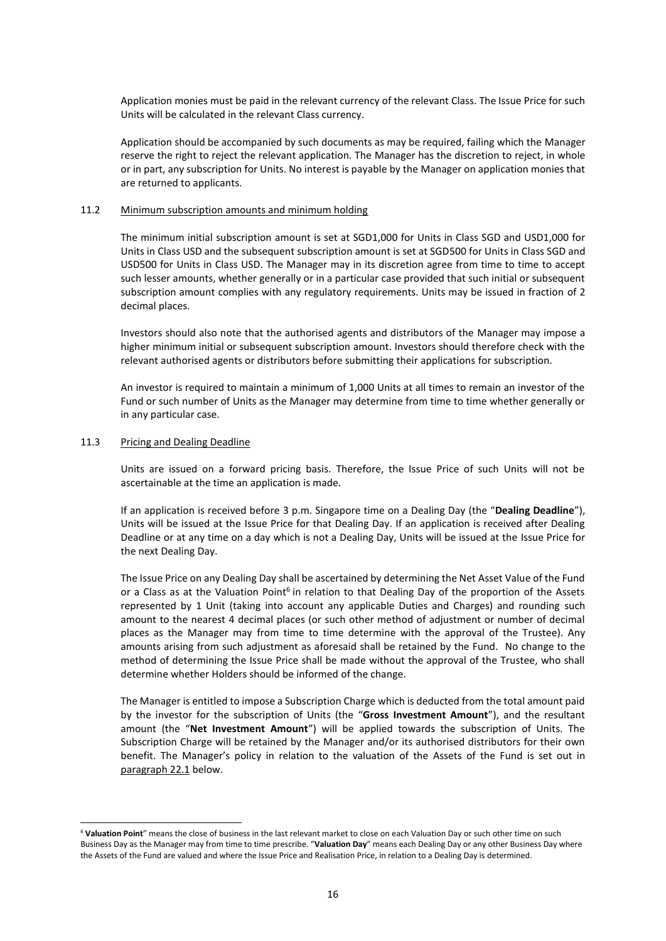Application monies must be paid in the relevant currency of the relevant Class. The Issue Price for such Units will be calculated in the relevant Class currency.

Application should be accompanied by such documents as may be required, failing which the Manager reserve the right to reject the relevant application. The Manager has the discretion to reject, in whole or in part, any subscription for Units. No interest is payable by the Manager on application monies that are returned to applicants.

### 11.2 Minimum subscription amounts and minimum holding

The minimum initial subscription amount is set at SGD1,000 for Units in Class SGD and USD1,000 for Units in Class USD and the subsequent subscription amount is set at SGD500 for Units in Class SGD and USD500 for Units in Class USD. The Manager may in its discretion agree from time to time to accept such lesser amounts, whether generally or in a particular case provided that such initial or subsequent subscription amount complies with any regulatory requirements. Units may be issued in fraction of 2 decimal places.

Investors should also note that the authorised agents and distributors of the Manager may impose a higher minimum initial or subsequent subscription amount. Investors should therefore check with the relevant authorised agents or distributors before submitting their applications for subscription.

An investor is required to maintain a minimum of 1,000 Units at all times to remain an investor of the Fund or such number of Units as the Manager may determine from time to time whether generally or in any particular case.

### 11.3 Pricing and Dealing Deadline

1

Units are issued on a forward pricing basis. Therefore, the Issue Price of such Units will not be ascertainable at the time an application is made.

If an application is received before 3 p.m. Singapore time on a Dealing Day (the "**Dealing Deadline**"), Units will be issued at the Issue Price for that Dealing Day. If an application is received after Dealing Deadline or at any time on a day which is not a Dealing Day, Units will be issued at the Issue Price for the next Dealing Day.

The Issue Price on any Dealing Day shall be ascertained by determining the Net Asset Value of the Fund or a Class as at the Valuation Point<sup>6</sup> in relation to that Dealing Day of the proportion of the Assets represented by 1 Unit (taking into account any applicable Duties and Charges) and rounding such amount to the nearest 4 decimal places (or such other method of adjustment or number of decimal places as the Manager may from time to time determine with the approval of the Trustee). Any amounts arising from such adjustment as aforesaid shall be retained by the Fund. No change to the method of determining the Issue Price shall be made without the approval of the Trustee, who shall determine whether Holders should be informed of the change.

The Manager is entitled to impose a Subscription Charge which is deducted from the total amount paid by the investor for the subscription of Units (the "**Gross Investment Amount**"), and the resultant amount (the "**Net Investment Amount**") will be applied towards the subscription of Units. The Subscription Charge will be retained by the Manager and/or its authorised distributors for their own benefit. The Manager's policy in relation to the valuation of the Assets of the Fund is set out in paragraph 22.1 below.

<sup>6</sup> **Valuation Point**" means the close of business in the last relevant market to close on each Valuation Day or such other time on such Business Day as the Manager may from time to time prescribe. "**Valuation Day**" means each Dealing Day or any other Business Day where the Assets of the Fund are valued and where the Issue Price and Realisation Price, in relation to a Dealing Day is determined.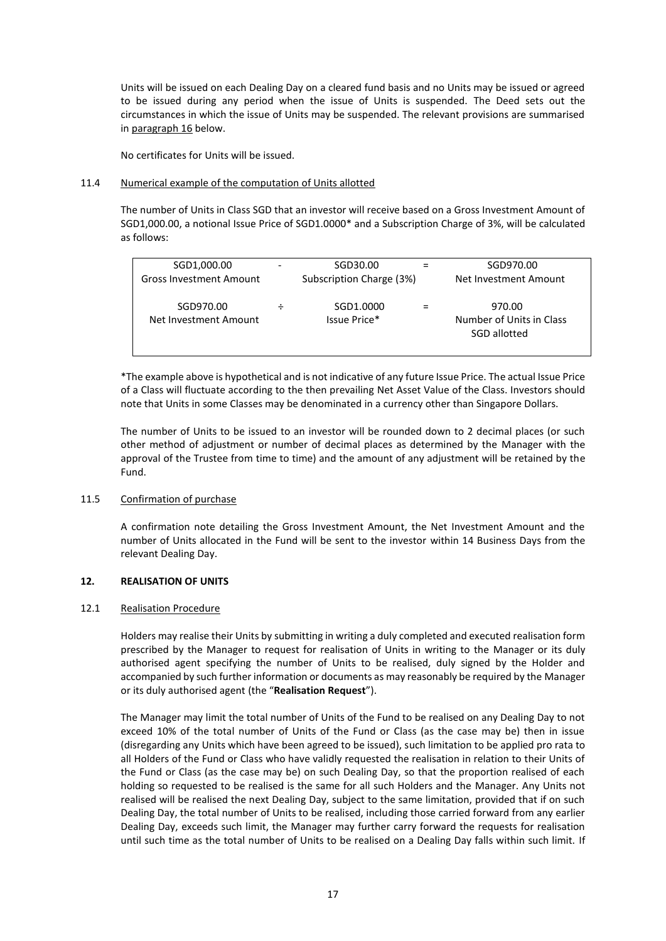Units will be issued on each Dealing Day on a cleared fund basis and no Units may be issued or agreed to be issued during any period when the issue of Units is suspended. The Deed sets out the circumstances in which the issue of Units may be suspended. The relevant provisions are summarised in paragraph 16 below.

No certificates for Units will be issued.

### 11.4 Numerical example of the computation of Units allotted

The number of Units in Class SGD that an investor will receive based on a Gross Investment Amount of SGD1,000.00, a notional Issue Price of SGD1.0000\* and a Subscription Charge of 3%, will be calculated as follows:

| SGD1,000.00                        |                          | SGD30.00                  | SGD970.00                                          |
|------------------------------------|--------------------------|---------------------------|----------------------------------------------------|
| <b>Gross Investment Amount</b>     | Subscription Charge (3%) |                           | Net Investment Amount                              |
| SGD970.00<br>Net Investment Amount |                          | SGD1.0000<br>Issue Price* | 970.00<br>Number of Units in Class<br>SGD allotted |

\*The example above is hypothetical and is not indicative of any future Issue Price. The actual Issue Price of a Class will fluctuate according to the then prevailing Net Asset Value of the Class. Investors should note that Units in some Classes may be denominated in a currency other than Singapore Dollars.

The number of Units to be issued to an investor will be rounded down to 2 decimal places (or such other method of adjustment or number of decimal places as determined by the Manager with the approval of the Trustee from time to time) and the amount of any adjustment will be retained by the Fund.

# 11.5 Confirmation of purchase

A confirmation note detailing the Gross Investment Amount, the Net Investment Amount and the number of Units allocated in the Fund will be sent to the investor within 14 Business Days from the relevant Dealing Day.

### <span id="page-23-0"></span>**12. REALISATION OF UNITS**

#### 12.1 Realisation Procedure

Holders may realise their Units by submitting in writing a duly completed and executed realisation form prescribed by the Manager to request for realisation of Units in writing to the Manager or its duly authorised agent specifying the number of Units to be realised, duly signed by the Holder and accompanied by such further information or documents as may reasonably be required by the Manager or its duly authorised agent (the "**Realisation Request**").

The Manager may limit the total number of Units of the Fund to be realised on any Dealing Day to not exceed 10% of the total number of Units of the Fund or Class (as the case may be) then in issue (disregarding any Units which have been agreed to be issued), such limitation to be applied pro rata to all Holders of the Fund or Class who have validly requested the realisation in relation to their Units of the Fund or Class (as the case may be) on such Dealing Day, so that the proportion realised of each holding so requested to be realised is the same for all such Holders and the Manager. Any Units not realised will be realised the next Dealing Day, subject to the same limitation, provided that if on such Dealing Day, the total number of Units to be realised, including those carried forward from any earlier Dealing Day, exceeds such limit, the Manager may further carry forward the requests for realisation until such time as the total number of Units to be realised on a Dealing Day falls within such limit. If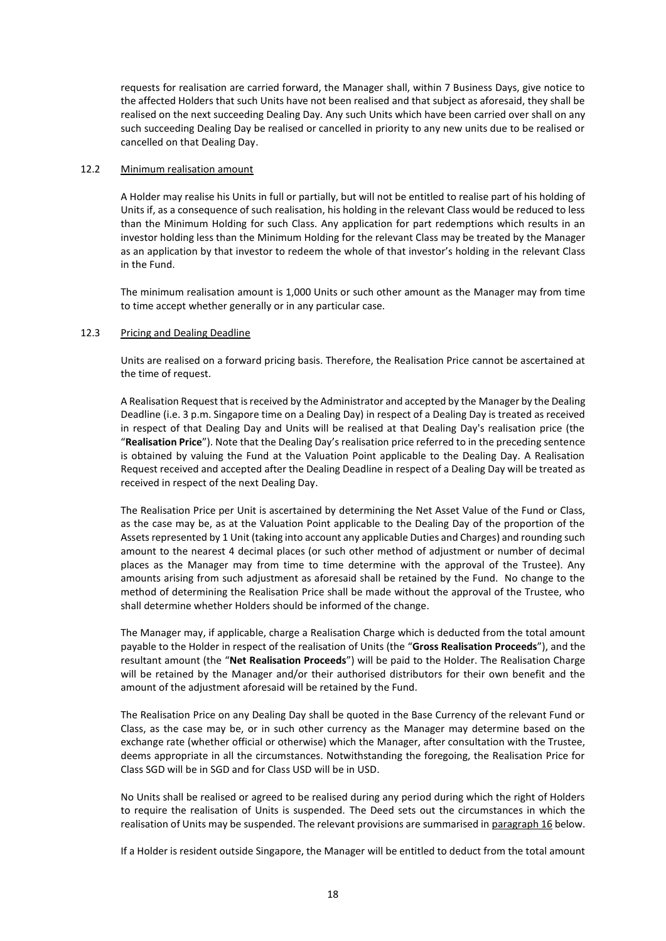requests for realisation are carried forward, the Manager shall, within 7 Business Days, give notice to the affected Holders that such Units have not been realised and that subject as aforesaid, they shall be realised on the next succeeding Dealing Day. Any such Units which have been carried over shall on any such succeeding Dealing Day be realised or cancelled in priority to any new units due to be realised or cancelled on that Dealing Day.

### 12.2 Minimum realisation amount

A Holder may realise his Units in full or partially, but will not be entitled to realise part of his holding of Units if, as a consequence of such realisation, his holding in the relevant Class would be reduced to less than the Minimum Holding for such Class. Any application for part redemptions which results in an investor holding less than the Minimum Holding for the relevant Class may be treated by the Manager as an application by that investor to redeem the whole of that investor's holding in the relevant Class in the Fund.

The minimum realisation amount is 1,000 Units or such other amount as the Manager may from time to time accept whether generally or in any particular case.

#### 12.3 Pricing and Dealing Deadline

Units are realised on a forward pricing basis. Therefore, the Realisation Price cannot be ascertained at the time of request.

A Realisation Request that is received by the Administrator and accepted by the Manager by the Dealing Deadline (i.e. 3 p.m. Singapore time on a Dealing Day) in respect of a Dealing Day is treated as received in respect of that Dealing Day and Units will be realised at that Dealing Day's realisation price (the "**Realisation Price**"). Note that the Dealing Day's realisation price referred to in the preceding sentence is obtained by valuing the Fund at the Valuation Point applicable to the Dealing Day. A Realisation Request received and accepted after the Dealing Deadline in respect of a Dealing Day will be treated as received in respect of the next Dealing Day.

The Realisation Price per Unit is ascertained by determining the Net Asset Value of the Fund or Class, as the case may be, as at the Valuation Point applicable to the Dealing Day of the proportion of the Assets represented by 1 Unit (taking into account any applicable Duties and Charges) and rounding such amount to the nearest 4 decimal places (or such other method of adjustment or number of decimal places as the Manager may from time to time determine with the approval of the Trustee). Any amounts arising from such adjustment as aforesaid shall be retained by the Fund. No change to the method of determining the Realisation Price shall be made without the approval of the Trustee, who shall determine whether Holders should be informed of the change.

The Manager may, if applicable, charge a Realisation Charge which is deducted from the total amount payable to the Holder in respect of the realisation of Units (the "**Gross Realisation Proceeds**"), and the resultant amount (the "**Net Realisation Proceeds**") will be paid to the Holder. The Realisation Charge will be retained by the Manager and/or their authorised distributors for their own benefit and the amount of the adjustment aforesaid will be retained by the Fund.

The Realisation Price on any Dealing Day shall be quoted in the Base Currency of the relevant Fund or Class, as the case may be, or in such other currency as the Manager may determine based on the exchange rate (whether official or otherwise) which the Manager, after consultation with the Trustee, deems appropriate in all the circumstances. Notwithstanding the foregoing, the Realisation Price for Class SGD will be in SGD and for Class USD will be in USD.

No Units shall be realised or agreed to be realised during any period during which the right of Holders to require the realisation of Units is suspended. The Deed sets out the circumstances in which the realisation of Units may be suspended. The relevant provisions are summarised in paragraph 16 below.

If a Holder is resident outside Singapore, the Manager will be entitled to deduct from the total amount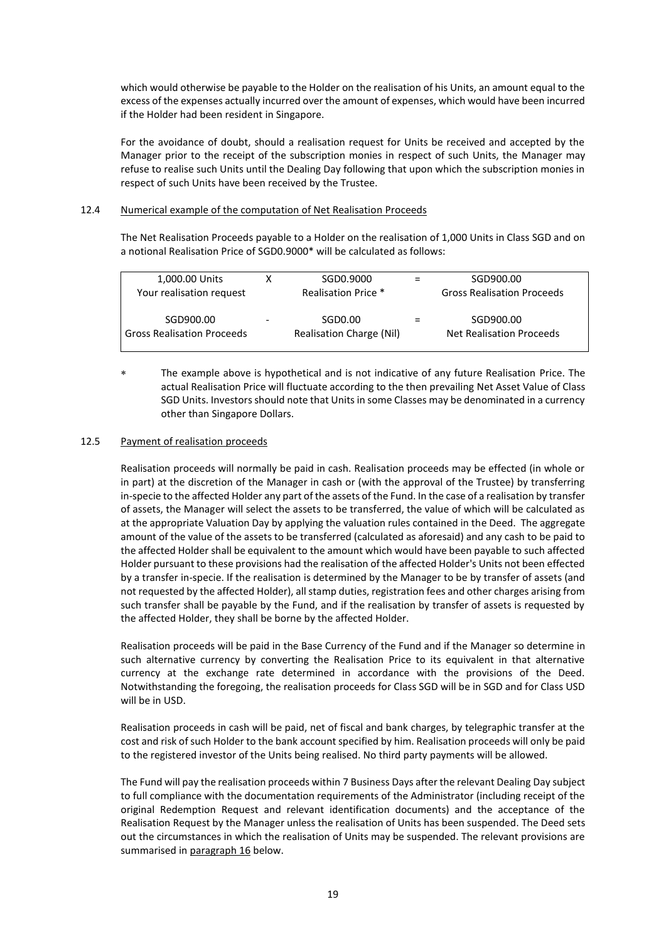which would otherwise be payable to the Holder on the realisation of his Units, an amount equal to the excess of the expenses actually incurred over the amount of expenses, which would have been incurred if the Holder had been resident in Singapore.

For the avoidance of doubt, should a realisation request for Units be received and accepted by the Manager prior to the receipt of the subscription monies in respect of such Units, the Manager may refuse to realise such Units until the Dealing Day following that upon which the subscription monies in respect of such Units have been received by the Trustee.

# 12.4 Numerical example of the computation of Net Realisation Proceeds

The Net Realisation Proceeds payable to a Holder on the realisation of 1,000 Units in Class SGD and on a notional Realisation Price of SGD0.9000\* will be calculated as follows:

| 1,000.00 Units                                 | SGD0.9000                           | SGD900.00                                    |
|------------------------------------------------|-------------------------------------|----------------------------------------------|
| Your realisation request                       | Realisation Price *                 | <b>Gross Realisation Proceeds</b>            |
| SGD900.00<br><b>Gross Realisation Proceeds</b> | SGD0.00<br>Realisation Charge (Nil) | SGD900.00<br><b>Net Realisation Proceeds</b> |
|                                                |                                     |                                              |

 The example above is hypothetical and is not indicative of any future Realisation Price. The actual Realisation Price will fluctuate according to the then prevailing Net Asset Value of Class SGD Units. Investors should note that Units in some Classes may be denominated in a currency other than Singapore Dollars.

#### 12.5 Payment of realisation proceeds

Realisation proceeds will normally be paid in cash. Realisation proceeds may be effected (in whole or in part) at the discretion of the Manager in cash or (with the approval of the Trustee) by transferring in-specie to the affected Holder any part of the assets of the Fund. In the case of a realisation by transfer of assets, the Manager will select the assets to be transferred, the value of which will be calculated as at the appropriate Valuation Day by applying the valuation rules contained in the Deed. The aggregate amount of the value of the assets to be transferred (calculated as aforesaid) and any cash to be paid to the affected Holder shall be equivalent to the amount which would have been payable to such affected Holder pursuant to these provisions had the realisation of the affected Holder's Units not been effected by a transfer in-specie. If the realisation is determined by the Manager to be by transfer of assets (and not requested by the affected Holder), all stamp duties, registration fees and other charges arising from such transfer shall be payable by the Fund, and if the realisation by transfer of assets is requested by the affected Holder, they shall be borne by the affected Holder.

Realisation proceeds will be paid in the Base Currency of the Fund and if the Manager so determine in such alternative currency by converting the Realisation Price to its equivalent in that alternative currency at the exchange rate determined in accordance with the provisions of the Deed. Notwithstanding the foregoing, the realisation proceeds for Class SGD will be in SGD and for Class USD will be in USD.

Realisation proceeds in cash will be paid, net of fiscal and bank charges, by telegraphic transfer at the cost and risk of such Holder to the bank account specified by him. Realisation proceeds will only be paid to the registered investor of the Units being realised. No third party payments will be allowed.

The Fund will pay the realisation proceeds within 7 Business Days after the relevant Dealing Day subject to full compliance with the documentation requirements of the Administrator (including receipt of the original Redemption Request and relevant identification documents) and the acceptance of the Realisation Request by the Manager unless the realisation of Units has been suspended. The Deed sets out the circumstances in which the realisation of Units may be suspended. The relevant provisions are summarised in paragraph 16 below.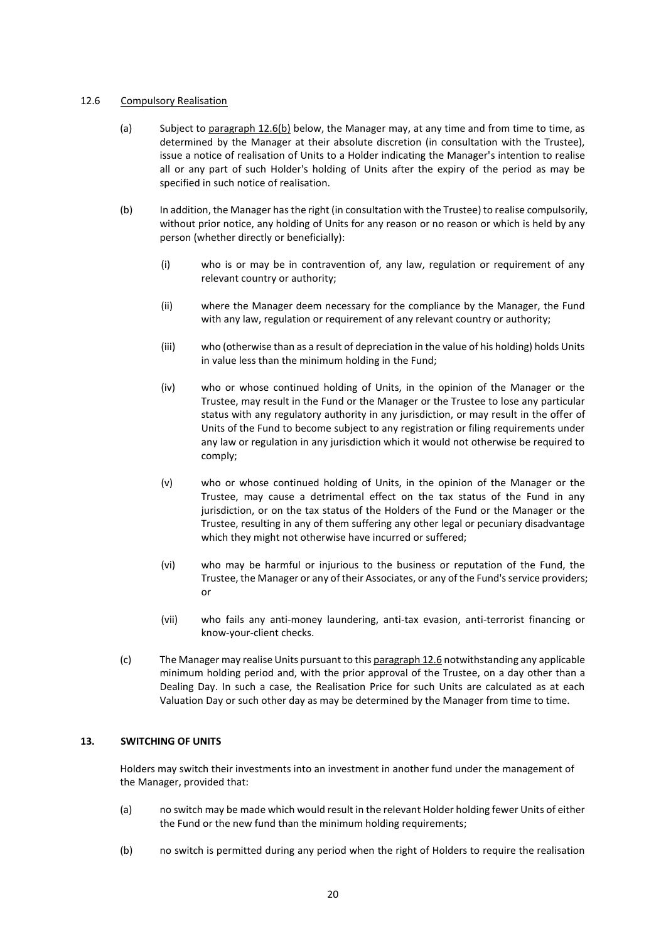### 12.6 Compulsory Realisation

- (a) Subject to paragraph 12.6(b) below, the Manager may, at any time and from time to time, as determined by the Manager at their absolute discretion (in consultation with the Trustee), issue a notice of realisation of Units to a Holder indicating the Manager's intention to realise all or any part of such Holder's holding of Units after the expiry of the period as may be specified in such notice of realisation.
- (b) In addition, the Manager hasthe right (in consultation with the Trustee) to realise compulsorily, without prior notice, any holding of Units for any reason or no reason or which is held by any person (whether directly or beneficially):
	- (i) who is or may be in contravention of, any law, regulation or requirement of any relevant country or authority;
	- (ii) where the Manager deem necessary for the compliance by the Manager, the Fund with any law, regulation or requirement of any relevant country or authority;
	- (iii) who (otherwise than as a result of depreciation in the value of his holding) holds Units in value less than the minimum holding in the Fund;
	- (iv) who or whose continued holding of Units, in the opinion of the Manager or the Trustee, may result in the Fund or the Manager or the Trustee to lose any particular status with any regulatory authority in any jurisdiction, or may result in the offer of Units of the Fund to become subject to any registration or filing requirements under any law or regulation in any jurisdiction which it would not otherwise be required to comply;
	- (v) who or whose continued holding of Units, in the opinion of the Manager or the Trustee, may cause a detrimental effect on the tax status of the Fund in any jurisdiction, or on the tax status of the Holders of the Fund or the Manager or the Trustee, resulting in any of them suffering any other legal or pecuniary disadvantage which they might not otherwise have incurred or suffered;
	- (vi) who may be harmful or injurious to the business or reputation of the Fund, the Trustee, the Manager or any of their Associates, or any of the Fund's service providers; or
	- (vii) who fails any anti-money laundering, anti-tax evasion, anti-terrorist financing or know-your-client checks.
- (c) The Manager may realise Units pursuant to this paragraph 12.6 notwithstanding any applicable minimum holding period and, with the prior approval of the Trustee, on a day other than a Dealing Day. In such a case, the Realisation Price for such Units are calculated as at each Valuation Day or such other day as may be determined by the Manager from time to time.

# <span id="page-26-0"></span>**13. SWITCHING OF UNITS**

Holders may switch their investments into an investment in another fund under the management of the Manager, provided that:

- (a) no switch may be made which would result in the relevant Holder holding fewer Units of either the Fund or the new fund than the minimum holding requirements;
- (b) no switch is permitted during any period when the right of Holders to require the realisation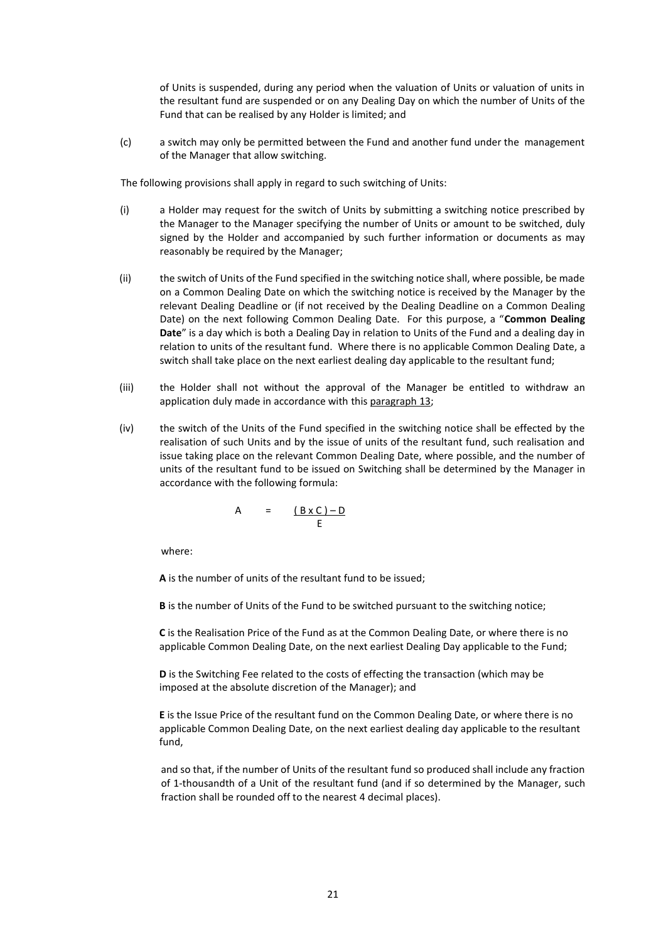of Units is suspended, during any period when the valuation of Units or valuation of units in the resultant fund are suspended or on any Dealing Day on which the number of Units of the Fund that can be realised by any Holder is limited; and

(c) a switch may only be permitted between the Fund and another fund under the management of the Manager that allow switching.

The following provisions shall apply in regard to such switching of Units:

- (i) a Holder may request for the switch of Units by submitting a switching notice prescribed by the Manager to the Manager specifying the number of Units or amount to be switched, duly signed by the Holder and accompanied by such further information or documents as may reasonably be required by the Manager;
- (ii) the switch of Units of the Fund specified in the switching notice shall, where possible, be made on a Common Dealing Date on which the switching notice is received by the Manager by the relevant Dealing Deadline or (if not received by the Dealing Deadline on a Common Dealing Date) on the next following Common Dealing Date. For this purpose, a "**Common Dealing Date**" is a day which is both a Dealing Day in relation to Units of the Fund and a dealing day in relation to units of the resultant fund. Where there is no applicable Common Dealing Date, a switch shall take place on the next earliest dealing day applicable to the resultant fund;
- (iii) the Holder shall not without the approval of the Manager be entitled to withdraw an application duly made in accordance with this paragraph 13;
- (iv) the switch of the Units of the Fund specified in the switching notice shall be effected by the realisation of such Units and by the issue of units of the resultant fund, such realisation and issue taking place on the relevant Common Dealing Date, where possible, and the number of units of the resultant fund to be issued on Switching shall be determined by the Manager in accordance with the following formula:

$$
A = \underbrace{(B \times C) - D}_{E}
$$

where:

**A** is the number of units of the resultant fund to be issued;

**B** is the number of Units of the Fund to be switched pursuant to the switching notice;

**C** is the Realisation Price of the Fund as at the Common Dealing Date, or where there is no applicable Common Dealing Date, on the next earliest Dealing Day applicable to the Fund;

**D** is the Switching Fee related to the costs of effecting the transaction (which may be imposed at the absolute discretion of the Manager); and

**E** is the Issue Price of the resultant fund on the Common Dealing Date, or where there is no applicable Common Dealing Date, on the next earliest dealing day applicable to the resultant fund,

and so that, if the number of Units of the resultant fund so produced shall include any fraction of 1-thousandth of a Unit of the resultant fund (and if so determined by the Manager, such fraction shall be rounded off to the nearest 4 decimal places).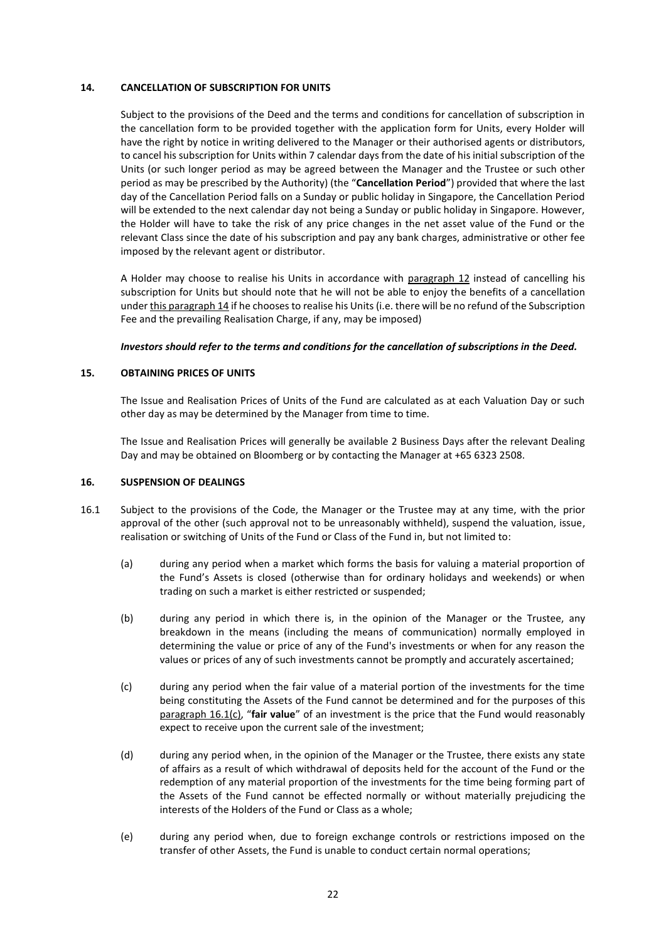### <span id="page-28-0"></span>**14. CANCELLATION OF SUBSCRIPTION FOR UNITS**

Subject to the provisions of the Deed and the terms and conditions for cancellation of subscription in the cancellation form to be provided together with the application form for Units, every Holder will have the right by notice in writing delivered to the Manager or their authorised agents or distributors, to cancel his subscription for Units within 7 calendar days from the date of his initial subscription of the Units (or such longer period as may be agreed between the Manager and the Trustee or such other period as may be prescribed by the Authority) (the "**Cancellation Period**") provided that where the last day of the Cancellation Period falls on a Sunday or public holiday in Singapore, the Cancellation Period will be extended to the next calendar day not being a Sunday or public holiday in Singapore. However, the Holder will have to take the risk of any price changes in the net asset value of the Fund or the relevant Class since the date of his subscription and pay any bank charges, administrative or other fee imposed by the relevant agent or distributor.

A Holder may choose to realise his Units in accordance with paragraph 12 instead of cancelling his subscription for Units but should note that he will not be able to enjoy the benefits of a cancellation under this paragraph 14 if he chooses to realise his Units (i.e. there will be no refund of the Subscription Fee and the prevailing Realisation Charge, if any, may be imposed)

### *Investors should refer to the terms and conditions for the cancellation of subscriptions in the Deed.*

# <span id="page-28-1"></span>**15. OBTAINING PRICES OF UNITS**

The Issue and Realisation Prices of Units of the Fund are calculated as at each Valuation Day or such other day as may be determined by the Manager from time to time.

The Issue and Realisation Prices will generally be available 2 Business Days after the relevant Dealing Day and may be obtained on Bloomberg or by contacting the Manager at +65 6323 2508.

#### <span id="page-28-2"></span>**16. SUSPENSION OF DEALINGS**

- 16.1 Subject to the provisions of the Code, the Manager or the Trustee may at any time, with the prior approval of the other (such approval not to be unreasonably withheld), suspend the valuation, issue, realisation or switching of Units of the Fund or Class of the Fund in, but not limited to:
	- (a) during any period when a market which forms the basis for valuing a material proportion of the Fund's Assets is closed (otherwise than for ordinary holidays and weekends) or when trading on such a market is either restricted or suspended;
	- (b) during any period in which there is, in the opinion of the Manager or the Trustee, any breakdown in the means (including the means of communication) normally employed in determining the value or price of any of the Fund's investments or when for any reason the values or prices of any of such investments cannot be promptly and accurately ascertained;
	- (c) during any period when the fair value of a material portion of the investments for the time being constituting the Assets of the Fund cannot be determined and for the purposes of this paragraph 16.1(c), "**fair value**" of an investment is the price that the Fund would reasonably expect to receive upon the current sale of the investment;
	- (d) during any period when, in the opinion of the Manager or the Trustee, there exists any state of affairs as a result of which withdrawal of deposits held for the account of the Fund or the redemption of any material proportion of the investments for the time being forming part of the Assets of the Fund cannot be effected normally or without materially prejudicing the interests of the Holders of the Fund or Class as a whole;
	- (e) during any period when, due to foreign exchange controls or restrictions imposed on the transfer of other Assets, the Fund is unable to conduct certain normal operations;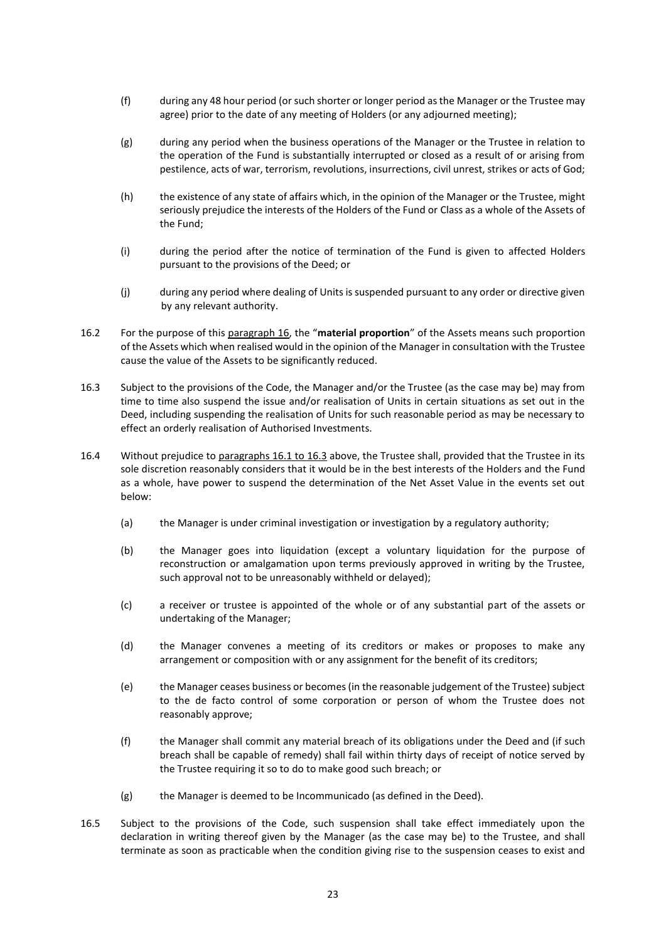- (f) during any 48 hour period (or such shorter or longer period as the Manager or the Trustee may agree) prior to the date of any meeting of Holders (or any adjourned meeting);
- (g) during any period when the business operations of the Manager or the Trustee in relation to the operation of the Fund is substantially interrupted or closed as a result of or arising from pestilence, acts of war, terrorism, revolutions, insurrections, civil unrest, strikes or acts of God;
- (h) the existence of any state of affairs which, in the opinion of the Manager or the Trustee, might seriously prejudice the interests of the Holders of the Fund or Class as a whole of the Assets of the Fund;
- (i) during the period after the notice of termination of the Fund is given to affected Holders pursuant to the provisions of the Deed; or
- (j) during any period where dealing of Units is suspended pursuant to any order or directive given by any relevant authority.
- 16.2 For the purpose of this paragraph 16, the "**material proportion**" of the Assets means such proportion of the Assets which when realised would in the opinion of the Manager in consultation with the Trustee cause the value of the Assets to be significantly reduced.
- 16.3 Subject to the provisions of the Code, the Manager and/or the Trustee (as the case may be) may from time to time also suspend the issue and/or realisation of Units in certain situations as set out in the Deed, including suspending the realisation of Units for such reasonable period as may be necessary to effect an orderly realisation of Authorised Investments.
- 16.4 Without prejudice to paragraphs 16.1 to 16.3 above, the Trustee shall, provided that the Trustee in its sole discretion reasonably considers that it would be in the best interests of the Holders and the Fund as a whole, have power to suspend the determination of the Net Asset Value in the events set out below:
	- (a) the Manager is under criminal investigation or investigation by a regulatory authority;
	- (b) the Manager goes into liquidation (except a voluntary liquidation for the purpose of reconstruction or amalgamation upon terms previously approved in writing by the Trustee, such approval not to be unreasonably withheld or delayed);
	- (c) a receiver or trustee is appointed of the whole or of any substantial part of the assets or undertaking of the Manager;
	- (d) the Manager convenes a meeting of its creditors or makes or proposes to make any arrangement or composition with or any assignment for the benefit of its creditors;
	- (e) the Manager ceases business or becomes (in the reasonable judgement of the Trustee) subject to the de facto control of some corporation or person of whom the Trustee does not reasonably approve;
	- (f) the Manager shall commit any material breach of its obligations under the Deed and (if such breach shall be capable of remedy) shall fail within thirty days of receipt of notice served by the Trustee requiring it so to do to make good such breach; or
	- (g) the Manager is deemed to be Incommunicado (as defined in the Deed).
- 16.5 Subject to the provisions of the Code, such suspension shall take effect immediately upon the declaration in writing thereof given by the Manager (as the case may be) to the Trustee, and shall terminate as soon as practicable when the condition giving rise to the suspension ceases to exist and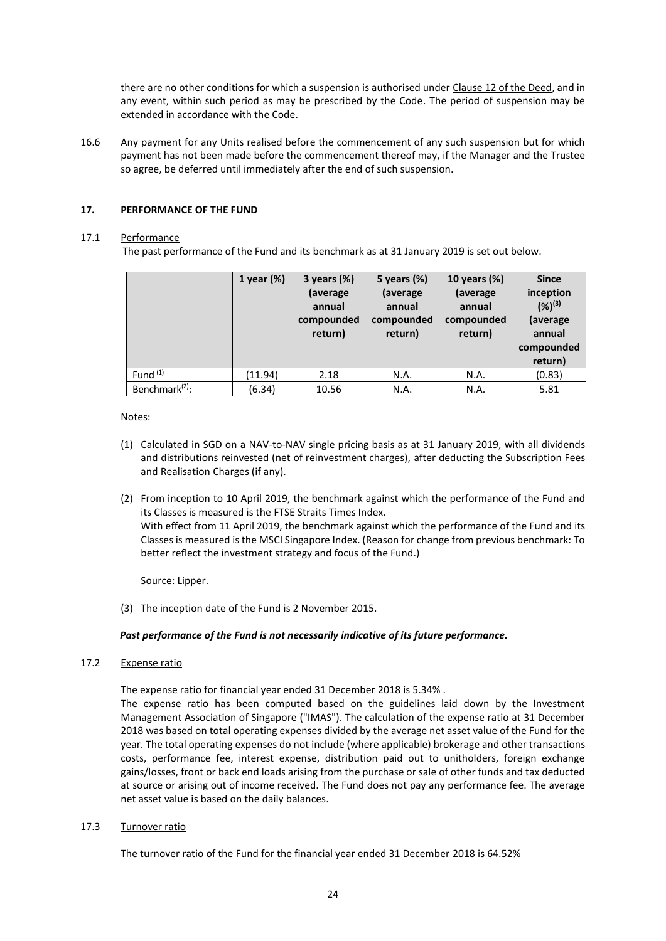there are no other conditions for which a suspension is authorised under Clause 12 of the Deed, and in any event, within such period as may be prescribed by the Code. The period of suspension may be extended in accordance with the Code.

16.6 Any payment for any Units realised before the commencement of any such suspension but for which payment has not been made before the commencement thereof may, if the Manager and the Trustee so agree, be deferred until immediately after the end of such suspension.

# <span id="page-30-0"></span>**17. PERFORMANCE OF THE FUND**

# 17.1 Performance

The past performance of the Fund and its benchmark as at 31 January 2019 is set out below.

|                            | 1 year $(\%)$ | 3 years $(\%)$<br>(average<br>annual<br>compounded<br>return) | 5 years (%)<br>(average<br>annual<br>compounded<br>return) | 10 years (%)<br>(average<br>annual<br>compounded<br>return) | <b>Since</b><br>inception<br>$(%)^{(3)}$<br>(average<br>annual<br>compounded<br>return) |
|----------------------------|---------------|---------------------------------------------------------------|------------------------------------------------------------|-------------------------------------------------------------|-----------------------------------------------------------------------------------------|
| Fund $(1)$                 | (11.94)       | 2.18                                                          | N.A.                                                       | N.A.                                                        | (0.83)                                                                                  |
| Benchmark <sup>(2)</sup> : | (6.34)        | 10.56                                                         | N.A.                                                       | N.A.                                                        | 5.81                                                                                    |

Notes:

- (1) Calculated in SGD on a NAV-to-NAV single pricing basis as at 31 January 2019, with all dividends and distributions reinvested (net of reinvestment charges), after deducting the Subscription Fees and Realisation Charges (if any).
- (2) From inception to 10 April 2019, the benchmark against which the performance of the Fund and its Classes is measured is the FTSE Straits Times Index. With effect from 11 April 2019, the benchmark against which the performance of the Fund and its Classes is measured is the MSCI Singapore Index. (Reason for change from previous benchmark: To better reflect the investment strategy and focus of the Fund.)

Source: Lipper.

(3) The inception date of the Fund is 2 November 2015.

# *Past performance of the Fund is not necessarily indicative of its future performance.*

# 17.2 Expense ratio

The expense ratio for financial year ended 31 December 2018 is 5.34% .

The expense ratio has been computed based on the guidelines laid down by the Investment Management Association of Singapore ("IMAS"). The calculation of the expense ratio at 31 December 2018 was based on total operating expenses divided by the average net asset value of the Fund for the year. The total operating expenses do not include (where applicable) brokerage and other transactions costs, performance fee, interest expense, distribution paid out to unitholders, foreign exchange gains/losses, front or back end loads arising from the purchase or sale of other funds and tax deducted at source or arising out of income received. The Fund does not pay any performance fee. The average net asset value is based on the daily balances.

17.3 Turnover ratio

The turnover ratio of the Fund for the financial year ended 31 December 2018 is 64.52%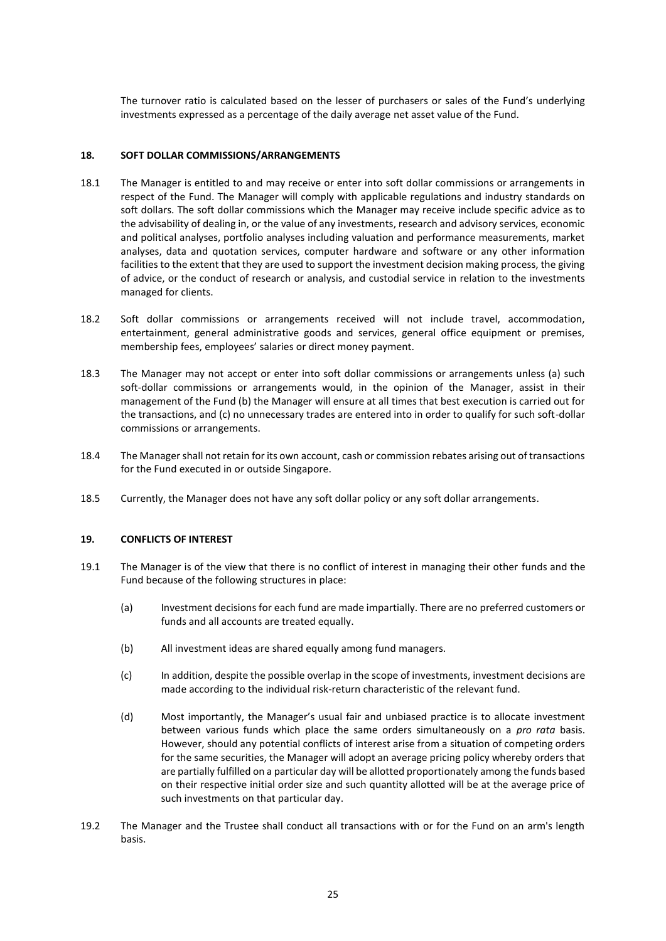The turnover ratio is calculated based on the lesser of purchasers or sales of the Fund's underlying investments expressed as a percentage of the daily average net asset value of the Fund.

# <span id="page-31-0"></span>**18. SOFT DOLLAR COMMISSIONS/ARRANGEMENTS**

- 18.1 The Manager is entitled to and may receive or enter into soft dollar commissions or arrangements in respect of the Fund. The Manager will comply with applicable regulations and industry standards on soft dollars. The soft dollar commissions which the Manager may receive include specific advice as to the advisability of dealing in, or the value of any investments, research and advisory services, economic and political analyses, portfolio analyses including valuation and performance measurements, market analyses, data and quotation services, computer hardware and software or any other information facilities to the extent that they are used to support the investment decision making process, the giving of advice, or the conduct of research or analysis, and custodial service in relation to the investments managed for clients.
- 18.2 Soft dollar commissions or arrangements received will not include travel, accommodation, entertainment, general administrative goods and services, general office equipment or premises, membership fees, employees' salaries or direct money payment.
- 18.3 The Manager may not accept or enter into soft dollar commissions or arrangements unless (a) such soft-dollar commissions or arrangements would, in the opinion of the Manager, assist in their management of the Fund (b) the Manager will ensure at all times that best execution is carried out for the transactions, and (c) no unnecessary trades are entered into in order to qualify for such soft-dollar commissions or arrangements.
- 18.4 The Managershall not retain for its own account, cash or commission rebates arising out of transactions for the Fund executed in or outside Singapore.
- 18.5 Currently, the Manager does not have any soft dollar policy or any soft dollar arrangements.

# <span id="page-31-1"></span>**19. CONFLICTS OF INTEREST**

- 19.1 The Manager is of the view that there is no conflict of interest in managing their other funds and the Fund because of the following structures in place:
	- (a) Investment decisions for each fund are made impartially. There are no preferred customers or funds and all accounts are treated equally.
	- (b) All investment ideas are shared equally among fund managers.
	- (c) In addition, despite the possible overlap in the scope of investments, investment decisions are made according to the individual risk-return characteristic of the relevant fund.
	- (d) Most importantly, the Manager's usual fair and unbiased practice is to allocate investment between various funds which place the same orders simultaneously on a *pro rata* basis. However, should any potential conflicts of interest arise from a situation of competing orders for the same securities, the Manager will adopt an average pricing policy whereby orders that are partially fulfilled on a particular day will be allotted proportionately among the funds based on their respective initial order size and such quantity allotted will be at the average price of such investments on that particular day.
- 19.2 The Manager and the Trustee shall conduct all transactions with or for the Fund on an arm's length basis.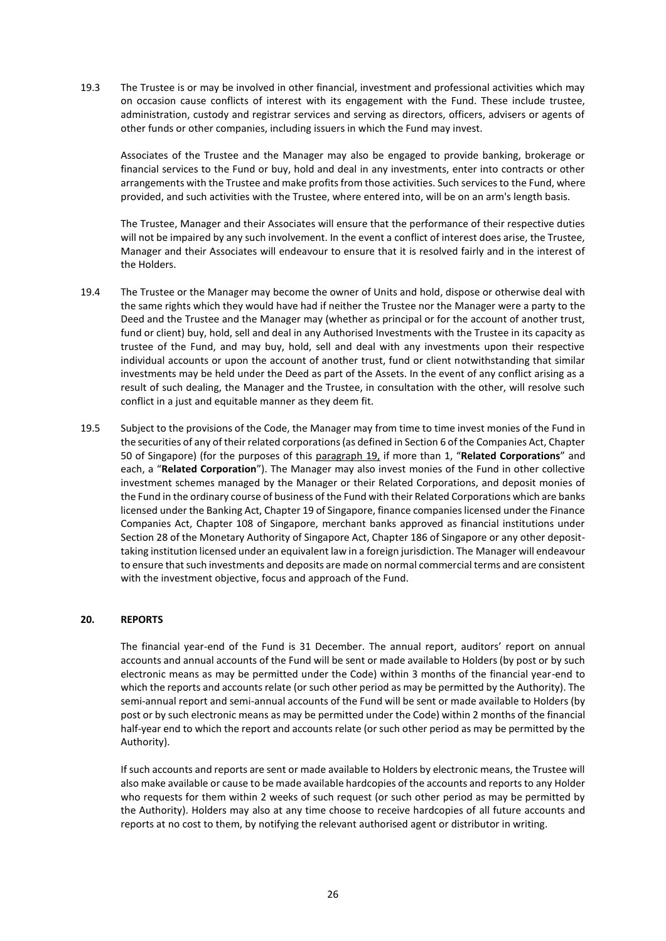19.3 The Trustee is or may be involved in other financial, investment and professional activities which may on occasion cause conflicts of interest with its engagement with the Fund. These include trustee, administration, custody and registrar services and serving as directors, officers, advisers or agents of other funds or other companies, including issuers in which the Fund may invest.

Associates of the Trustee and the Manager may also be engaged to provide banking, brokerage or financial services to the Fund or buy, hold and deal in any investments, enter into contracts or other arrangements with the Trustee and make profits from those activities. Such services to the Fund, where provided, and such activities with the Trustee, where entered into, will be on an arm's length basis.

The Trustee, Manager and their Associates will ensure that the performance of their respective duties will not be impaired by any such involvement. In the event a conflict of interest does arise, the Trustee, Manager and their Associates will endeavour to ensure that it is resolved fairly and in the interest of the Holders.

- 19.4 The Trustee or the Manager may become the owner of Units and hold, dispose or otherwise deal with the same rights which they would have had if neither the Trustee nor the Manager were a party to the Deed and the Trustee and the Manager may (whether as principal or for the account of another trust, fund or client) buy, hold, sell and deal in any Authorised Investments with the Trustee in its capacity as trustee of the Fund, and may buy, hold, sell and deal with any investments upon their respective individual accounts or upon the account of another trust, fund or client notwithstanding that similar investments may be held under the Deed as part of the Assets. In the event of any conflict arising as a result of such dealing, the Manager and the Trustee, in consultation with the other, will resolve such conflict in a just and equitable manner as they deem fit.
- 19.5 Subject to the provisions of the Code, the Manager may from time to time invest monies of the Fund in the securities of any of their related corporations (as defined in Section 6 of the Companies Act, Chapter 50 of Singapore) (for the purposes of this paragraph 19, if more than 1, "**Related Corporations**" and each, a "**Related Corporation**"). The Manager may also invest monies of the Fund in other collective investment schemes managed by the Manager or their Related Corporations, and deposit monies of the Fund in the ordinary course of business of the Fund with their Related Corporations which are banks licensed under the Banking Act, Chapter 19 of Singapore, finance companies licensed under the Finance Companies Act, Chapter 108 of Singapore, merchant banks approved as financial institutions under Section 28 of the Monetary Authority of Singapore Act, Chapter 186 of Singapore or any other deposittaking institution licensed under an equivalent law in a foreign jurisdiction. The Manager will endeavour to ensure that such investments and deposits are made on normal commercial terms and are consistent with the investment objective, focus and approach of the Fund.

# <span id="page-32-0"></span>**20. REPORTS**

The financial year-end of the Fund is 31 December. The annual report, auditors' report on annual accounts and annual accounts of the Fund will be sent or made available to Holders (by post or by such electronic means as may be permitted under the Code) within 3 months of the financial year-end to which the reports and accounts relate (or such other period as may be permitted by the Authority). The semi-annual report and semi-annual accounts of the Fund will be sent or made available to Holders (by post or by such electronic means as may be permitted under the Code) within 2 months of the financial half-year end to which the report and accounts relate (or such other period as may be permitted by the Authority).

If such accounts and reports are sent or made available to Holders by electronic means, the Trustee will also make available or cause to be made available hardcopies of the accounts and reports to any Holder who requests for them within 2 weeks of such request (or such other period as may be permitted by the Authority). Holders may also at any time choose to receive hardcopies of all future accounts and reports at no cost to them, by notifying the relevant authorised agent or distributor in writing.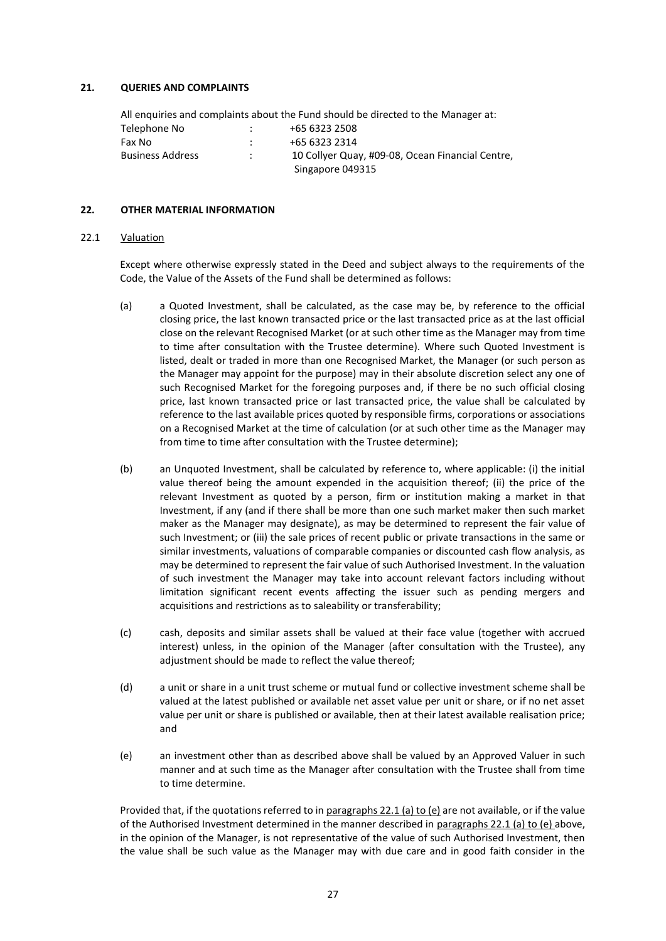### <span id="page-33-0"></span>**21. QUERIES AND COMPLAINTS**

All enquiries and complaints about the Fund should be directed to the Manager at: Telephone No : +65 6323 2508 Fax No  $: 465\,6323\,2314$ Business Address : 10 Collyer Quay, #09-08, Ocean Financial Centre, Singapore 049315

#### <span id="page-33-1"></span>**22. OTHER MATERIAL INFORMATION**

#### 22.1 Valuation

Except where otherwise expressly stated in the Deed and subject always to the requirements of the Code, the Value of the Assets of the Fund shall be determined as follows:

- (a) a Quoted Investment, shall be calculated, as the case may be, by reference to the official closing price, the last known transacted price or the last transacted price as at the last official close on the relevant Recognised Market (or at such other time as the Manager may from time to time after consultation with the Trustee determine). Where such Quoted Investment is listed, dealt or traded in more than one Recognised Market, the Manager (or such person as the Manager may appoint for the purpose) may in their absolute discretion select any one of such Recognised Market for the foregoing purposes and, if there be no such official closing price, last known transacted price or last transacted price, the value shall be calculated by reference to the last available prices quoted by responsible firms, corporations or associations on a Recognised Market at the time of calculation (or at such other time as the Manager may from time to time after consultation with the Trustee determine);
- (b) an Unquoted Investment, shall be calculated by reference to, where applicable: (i) the initial value thereof being the amount expended in the acquisition thereof; (ii) the price of the relevant Investment as quoted by a person, firm or institution making a market in that Investment, if any (and if there shall be more than one such market maker then such market maker as the Manager may designate), as may be determined to represent the fair value of such Investment; or (iii) the sale prices of recent public or private transactions in the same or similar investments, valuations of comparable companies or discounted cash flow analysis, as may be determined to represent the fair value of such Authorised Investment. In the valuation of such investment the Manager may take into account relevant factors including without limitation significant recent events affecting the issuer such as pending mergers and acquisitions and restrictions as to saleability or transferability;
- (c) cash, deposits and similar assets shall be valued at their face value (together with accrued interest) unless, in the opinion of the Manager (after consultation with the Trustee), any adjustment should be made to reflect the value thereof;
- (d) a unit or share in a unit trust scheme or mutual fund or collective investment scheme shall be valued at the latest published or available net asset value per unit or share, or if no net asset value per unit or share is published or available, then at their latest available realisation price; and
- (e) an investment other than as described above shall be valued by an Approved Valuer in such manner and at such time as the Manager after consultation with the Trustee shall from time to time determine.

Provided that, if the quotations referred to in paragraphs 22.1 (a) to (e) are not available, or if the value of the Authorised Investment determined in the manner described in paragraphs 22.1 (a) to (e) above, in the opinion of the Manager, is not representative of the value of such Authorised Investment, then the value shall be such value as the Manager may with due care and in good faith consider in the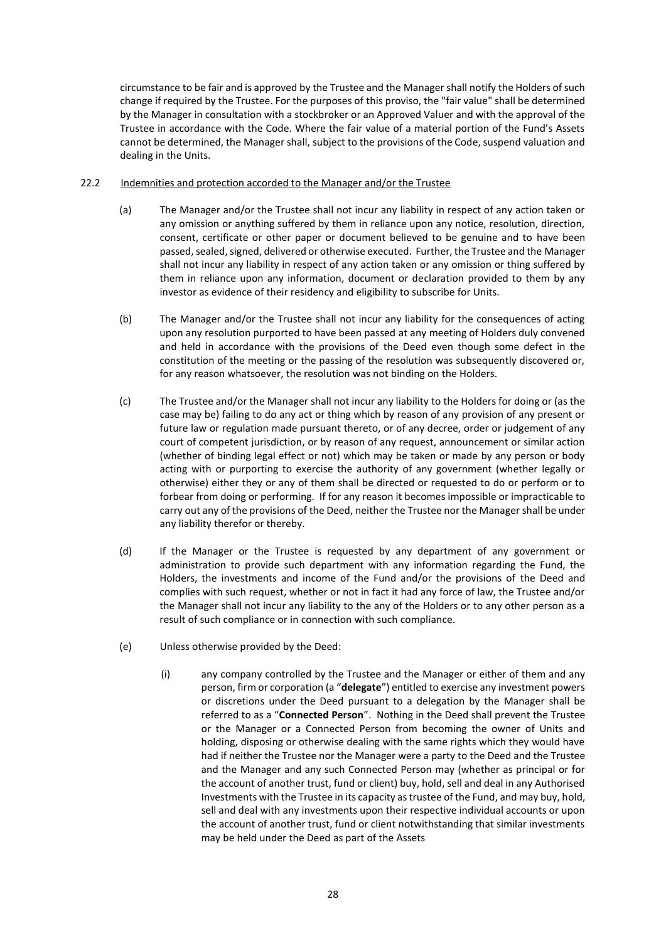circumstance to be fair and is approved by the Trustee and the Manager shall notify the Holders of such change if required by the Trustee. For the purposes of this proviso, the "fair value" shall be determined by the Manager in consultation with a stockbroker or an Approved Valuer and with the approval of the Trustee in accordance with the Code. Where the fair value of a material portion of the Fund's Assets cannot be determined, the Manager shall, subject to the provisions of the Code, suspend valuation and dealing in the Units.

# 22.2 Indemnities and protection accorded to the Manager and/or the Trustee

- (a) The Manager and/or the Trustee shall not incur any liability in respect of any action taken or any omission or anything suffered by them in reliance upon any notice, resolution, direction, consent, certificate or other paper or document believed to be genuine and to have been passed, sealed, signed, delivered or otherwise executed. Further, the Trustee and the Manager shall not incur any liability in respect of any action taken or any omission or thing suffered by them in reliance upon any information, document or declaration provided to them by any investor as evidence of their residency and eligibility to subscribe for Units.
- (b) The Manager and/or the Trustee shall not incur any liability for the consequences of acting upon any resolution purported to have been passed at any meeting of Holders duly convened and held in accordance with the provisions of the Deed even though some defect in the constitution of the meeting or the passing of the resolution was subsequently discovered or, for any reason whatsoever, the resolution was not binding on the Holders.
- (c) The Trustee and/or the Manager shall not incur any liability to the Holders for doing or (as the case may be) failing to do any act or thing which by reason of any provision of any present or future law or regulation made pursuant thereto, or of any decree, order or judgement of any court of competent jurisdiction, or by reason of any request, announcement or similar action (whether of binding legal effect or not) which may be taken or made by any person or body acting with or purporting to exercise the authority of any government (whether legally or otherwise) either they or any of them shall be directed or requested to do or perform or to forbear from doing or performing. If for any reason it becomes impossible or impracticable to carry out any of the provisions of the Deed, neither the Trustee nor the Manager shall be under any liability therefor or thereby.
- (d) If the Manager or the Trustee is requested by any department of any government or administration to provide such department with any information regarding the Fund, the Holders, the investments and income of the Fund and/or the provisions of the Deed and complies with such request, whether or not in fact it had any force of law, the Trustee and/or the Manager shall not incur any liability to the any of the Holders or to any other person as a result of such compliance or in connection with such compliance.
- (e) Unless otherwise provided by the Deed:
	- (i) any company controlled by the Trustee and the Manager or either of them and any person, firm or corporation (a "**delegate**") entitled to exercise any investment powers or discretions under the Deed pursuant to a delegation by the Manager shall be referred to as a "**Connected Person**". Nothing in the Deed shall prevent the Trustee or the Manager or a Connected Person from becoming the owner of Units and holding, disposing or otherwise dealing with the same rights which they would have had if neither the Trustee nor the Manager were a party to the Deed and the Trustee and the Manager and any such Connected Person may (whether as principal or for the account of another trust, fund or client) buy, hold, sell and deal in any Authorised Investments with the Trustee in its capacity as trustee of the Fund, and may buy, hold, sell and deal with any investments upon their respective individual accounts or upon the account of another trust, fund or client notwithstanding that similar investments may be held under the Deed as part of the Assets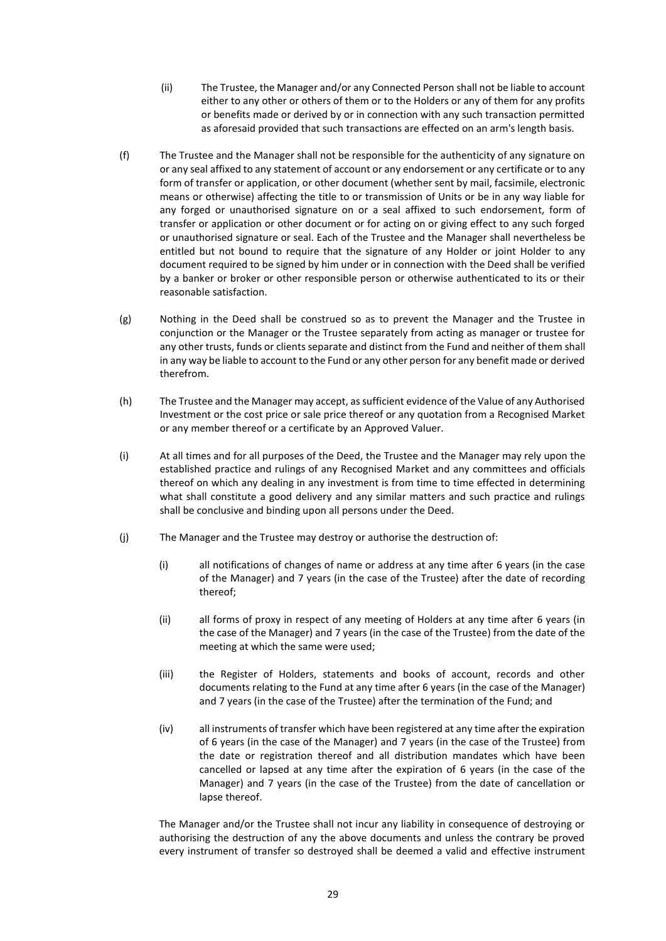- (ii) The Trustee, the Manager and/or any Connected Person shall not be liable to account either to any other or others of them or to the Holders or any of them for any profits or benefits made or derived by or in connection with any such transaction permitted as aforesaid provided that such transactions are effected on an arm's length basis.
- (f) The Trustee and the Manager shall not be responsible for the authenticity of any signature on or any seal affixed to any statement of account or any endorsement or any certificate or to any form of transfer or application, or other document (whether sent by mail, facsimile, electronic means or otherwise) affecting the title to or transmission of Units or be in any way liable for any forged or unauthorised signature on or a seal affixed to such endorsement, form of transfer or application or other document or for acting on or giving effect to any such forged or unauthorised signature or seal. Each of the Trustee and the Manager shall nevertheless be entitled but not bound to require that the signature of any Holder or joint Holder to any document required to be signed by him under or in connection with the Deed shall be verified by a banker or broker or other responsible person or otherwise authenticated to its or their reasonable satisfaction.
- (g) Nothing in the Deed shall be construed so as to prevent the Manager and the Trustee in conjunction or the Manager or the Trustee separately from acting as manager or trustee for any other trusts, funds or clients separate and distinct from the Fund and neither of them shall in any way be liable to account to the Fund or any other person for any benefit made or derived therefrom.
- (h) The Trustee and the Manager may accept, as sufficient evidence of the Value of any Authorised Investment or the cost price or sale price thereof or any quotation from a Recognised Market or any member thereof or a certificate by an Approved Valuer.
- (i) At all times and for all purposes of the Deed, the Trustee and the Manager may rely upon the established practice and rulings of any Recognised Market and any committees and officials thereof on which any dealing in any investment is from time to time effected in determining what shall constitute a good delivery and any similar matters and such practice and rulings shall be conclusive and binding upon all persons under the Deed.
- (j) The Manager and the Trustee may destroy or authorise the destruction of:
	- (i) all notifications of changes of name or address at any time after 6 years (in the case of the Manager) and 7 years (in the case of the Trustee) after the date of recording thereof;
	- (ii) all forms of proxy in respect of any meeting of Holders at any time after 6 years (in the case of the Manager) and 7 years (in the case of the Trustee) from the date of the meeting at which the same were used;
	- (iii) the Register of Holders, statements and books of account, records and other documents relating to the Fund at any time after 6 years (in the case of the Manager) and 7 years (in the case of the Trustee) after the termination of the Fund; and
	- (iv) all instruments of transfer which have been registered at any time after the expiration of 6 years (in the case of the Manager) and 7 years (in the case of the Trustee) from the date or registration thereof and all distribution mandates which have been cancelled or lapsed at any time after the expiration of 6 years (in the case of the Manager) and 7 years (in the case of the Trustee) from the date of cancellation or lapse thereof.

The Manager and/or the Trustee shall not incur any liability in consequence of destroying or authorising the destruction of any the above documents and unless the contrary be proved every instrument of transfer so destroyed shall be deemed a valid and effective instrument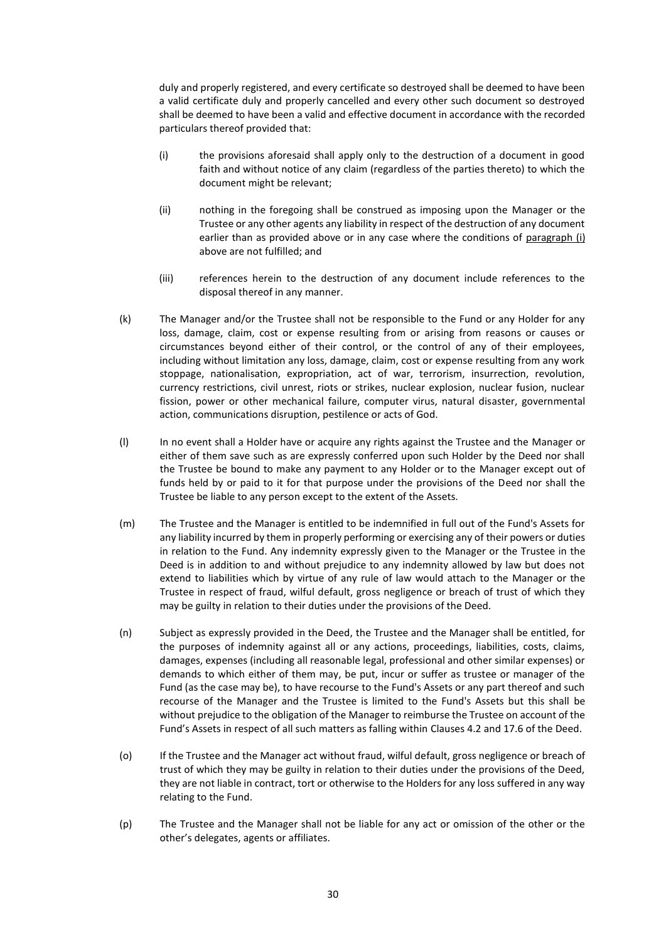duly and properly registered, and every certificate so destroyed shall be deemed to have been a valid certificate duly and properly cancelled and every other such document so destroyed shall be deemed to have been a valid and effective document in accordance with the recorded particulars thereof provided that:

- (i) the provisions aforesaid shall apply only to the destruction of a document in good faith and without notice of any claim (regardless of the parties thereto) to which the document might be relevant;
- (ii) nothing in the foregoing shall be construed as imposing upon the Manager or the Trustee or any other agents any liability in respect of the destruction of any document earlier than as provided above or in any case where the conditions of paragraph (i) above are not fulfilled; and
- (iii) references herein to the destruction of any document include references to the disposal thereof in any manner.
- (k) The Manager and/or the Trustee shall not be responsible to the Fund or any Holder for any loss, damage, claim, cost or expense resulting from or arising from reasons or causes or circumstances beyond either of their control, or the control of any of their employees, including without limitation any loss, damage, claim, cost or expense resulting from any work stoppage, nationalisation, expropriation, act of war, terrorism, insurrection, revolution, currency restrictions, civil unrest, riots or strikes, nuclear explosion, nuclear fusion, nuclear fission, power or other mechanical failure, computer virus, natural disaster, governmental action, communications disruption, pestilence or acts of God.
- (l) In no event shall a Holder have or acquire any rights against the Trustee and the Manager or either of them save such as are expressly conferred upon such Holder by the Deed nor shall the Trustee be bound to make any payment to any Holder or to the Manager except out of funds held by or paid to it for that purpose under the provisions of the Deed nor shall the Trustee be liable to any person except to the extent of the Assets.
- (m) The Trustee and the Manager is entitled to be indemnified in full out of the Fund's Assets for any liability incurred by them in properly performing or exercising any of their powers or duties in relation to the Fund. Any indemnity expressly given to the Manager or the Trustee in the Deed is in addition to and without prejudice to any indemnity allowed by law but does not extend to liabilities which by virtue of any rule of law would attach to the Manager or the Trustee in respect of fraud, wilful default, gross negligence or breach of trust of which they may be guilty in relation to their duties under the provisions of the Deed.
- (n) Subject as expressly provided in the Deed, the Trustee and the Manager shall be entitled, for the purposes of indemnity against all or any actions, proceedings, liabilities, costs, claims, damages, expenses (including all reasonable legal, professional and other similar expenses) or demands to which either of them may, be put, incur or suffer as trustee or manager of the Fund (as the case may be), to have recourse to the Fund's Assets or any part thereof and such recourse of the Manager and the Trustee is limited to the Fund's Assets but this shall be without prejudice to the obligation of the Manager to reimburse the Trustee on account of the Fund's Assets in respect of all such matters as falling within Clauses 4.2 and 17.6 of the Deed.
- (o) If the Trustee and the Manager act without fraud, wilful default, gross negligence or breach of trust of which they may be guilty in relation to their duties under the provisions of the Deed, they are not liable in contract, tort or otherwise to the Holders for any loss suffered in any way relating to the Fund.
- (p) The Trustee and the Manager shall not be liable for any act or omission of the other or the other's delegates, agents or affiliates.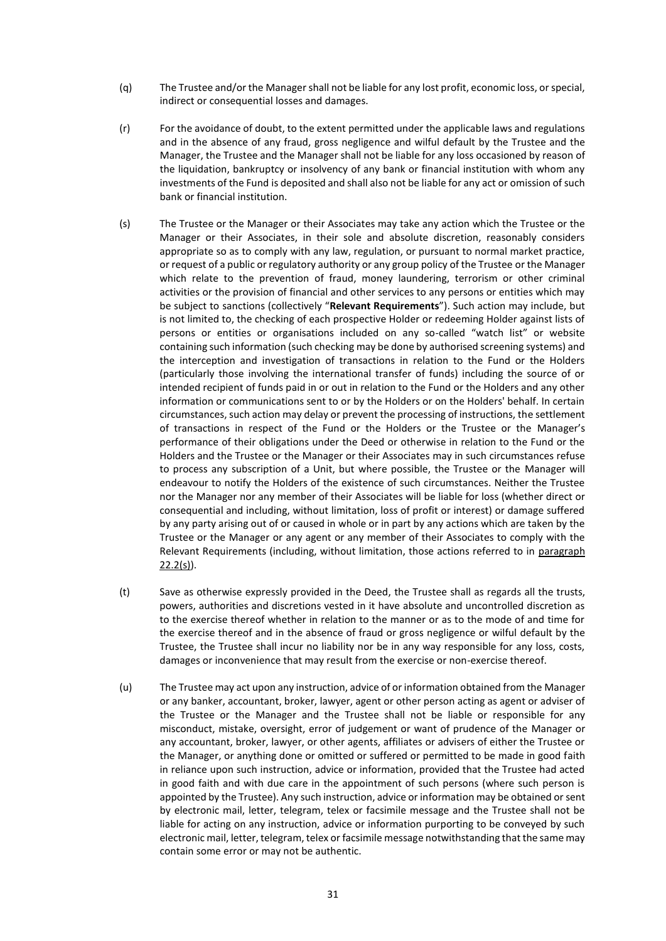- (q) The Trustee and/or the Managershall not be liable for any lost profit, economic loss, or special, indirect or consequential losses and damages.
- (r) For the avoidance of doubt, to the extent permitted under the applicable laws and regulations and in the absence of any fraud, gross negligence and wilful default by the Trustee and the Manager, the Trustee and the Manager shall not be liable for any loss occasioned by reason of the liquidation, bankruptcy or insolvency of any bank or financial institution with whom any investments of the Fund is deposited and shall also not be liable for any act or omission of such bank or financial institution.
- (s) The Trustee or the Manager or their Associates may take any action which the Trustee or the Manager or their Associates, in their sole and absolute discretion, reasonably considers appropriate so as to comply with any law, regulation, or pursuant to normal market practice, or request of a public or regulatory authority or any group policy of the Trustee or the Manager which relate to the prevention of fraud, money laundering, terrorism or other criminal activities or the provision of financial and other services to any persons or entities which may be subject to sanctions (collectively "**Relevant Requirements**"). Such action may include, but is not limited to, the checking of each prospective Holder or redeeming Holder against lists of persons or entities or organisations included on any so-called "watch list" or website containing such information (such checking may be done by authorised screening systems) and the interception and investigation of transactions in relation to the Fund or the Holders (particularly those involving the international transfer of funds) including the source of or intended recipient of funds paid in or out in relation to the Fund or the Holders and any other information or communications sent to or by the Holders or on the Holders' behalf. In certain circumstances, such action may delay or prevent the processing of instructions, the settlement of transactions in respect of the Fund or the Holders or the Trustee or the Manager's performance of their obligations under the Deed or otherwise in relation to the Fund or the Holders and the Trustee or the Manager or their Associates may in such circumstances refuse to process any subscription of a Unit, but where possible, the Trustee or the Manager will endeavour to notify the Holders of the existence of such circumstances. Neither the Trustee nor the Manager nor any member of their Associates will be liable for loss (whether direct or consequential and including, without limitation, loss of profit or interest) or damage suffered by any party arising out of or caused in whole or in part by any actions which are taken by the Trustee or the Manager or any agent or any member of their Associates to comply with the Relevant Requirements (including, without limitation, those actions referred to in paragraph  $22.2(s)$ ).
- (t) Save as otherwise expressly provided in the Deed, the Trustee shall as regards all the trusts, powers, authorities and discretions vested in it have absolute and uncontrolled discretion as to the exercise thereof whether in relation to the manner or as to the mode of and time for the exercise thereof and in the absence of fraud or gross negligence or wilful default by the Trustee, the Trustee shall incur no liability nor be in any way responsible for any loss, costs, damages or inconvenience that may result from the exercise or non-exercise thereof.
- (u) The Trustee may act upon any instruction, advice of or information obtained from the Manager or any banker, accountant, broker, lawyer, agent or other person acting as agent or adviser of the Trustee or the Manager and the Trustee shall not be liable or responsible for any misconduct, mistake, oversight, error of judgement or want of prudence of the Manager or any accountant, broker, lawyer, or other agents, affiliates or advisers of either the Trustee or the Manager, or anything done or omitted or suffered or permitted to be made in good faith in reliance upon such instruction, advice or information, provided that the Trustee had acted in good faith and with due care in the appointment of such persons (where such person is appointed by the Trustee). Any such instruction, advice or information may be obtained or sent by electronic mail, letter, telegram, telex or facsimile message and the Trustee shall not be liable for acting on any instruction, advice or information purporting to be conveyed by such electronic mail, letter, telegram, telex or facsimile message notwithstanding that the same may contain some error or may not be authentic.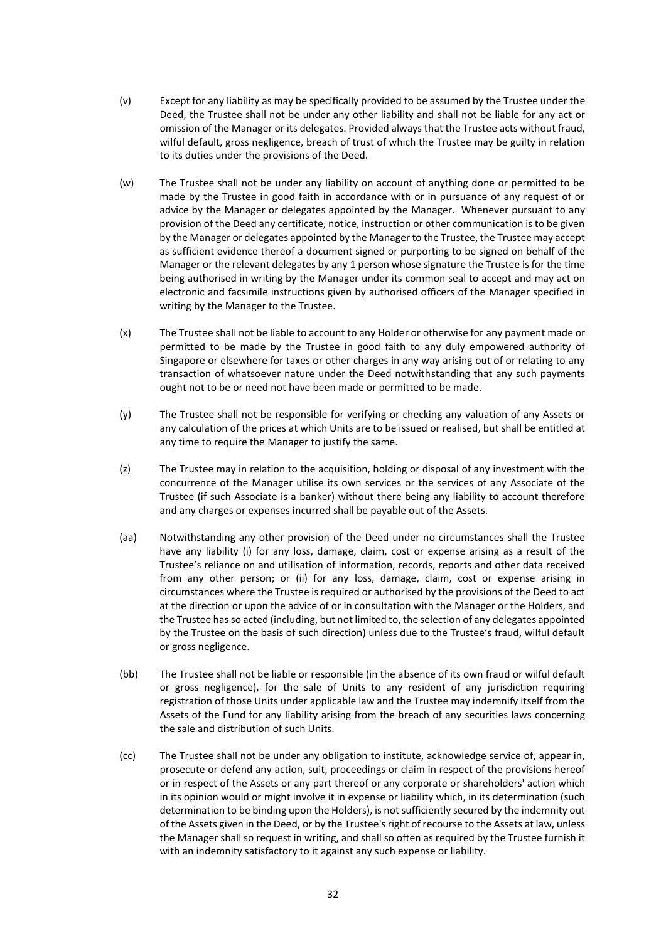- (v) Except for any liability as may be specifically provided to be assumed by the Trustee under the Deed, the Trustee shall not be under any other liability and shall not be liable for any act or omission of the Manager or its delegates. Provided always that the Trustee acts without fraud, wilful default, gross negligence, breach of trust of which the Trustee may be guilty in relation to its duties under the provisions of the Deed.
- (w) The Trustee shall not be under any liability on account of anything done or permitted to be made by the Trustee in good faith in accordance with or in pursuance of any request of or advice by the Manager or delegates appointed by the Manager. Whenever pursuant to any provision of the Deed any certificate, notice, instruction or other communication is to be given by the Manager or delegates appointed by the Manager to the Trustee, the Trustee may accept as sufficient evidence thereof a document signed or purporting to be signed on behalf of the Manager or the relevant delegates by any 1 person whose signature the Trustee is for the time being authorised in writing by the Manager under its common seal to accept and may act on electronic and facsimile instructions given by authorised officers of the Manager specified in writing by the Manager to the Trustee.
- (x) The Trustee shall not be liable to account to any Holder or otherwise for any payment made or permitted to be made by the Trustee in good faith to any duly empowered authority of Singapore or elsewhere for taxes or other charges in any way arising out of or relating to any transaction of whatsoever nature under the Deed notwithstanding that any such payments ought not to be or need not have been made or permitted to be made.
- (y) The Trustee shall not be responsible for verifying or checking any valuation of any Assets or any calculation of the prices at which Units are to be issued or realised, but shall be entitled at any time to require the Manager to justify the same.
- (z) The Trustee may in relation to the acquisition, holding or disposal of any investment with the concurrence of the Manager utilise its own services or the services of any Associate of the Trustee (if such Associate is a banker) without there being any liability to account therefore and any charges or expenses incurred shall be payable out of the Assets.
- (aa) Notwithstanding any other provision of the Deed under no circumstances shall the Trustee have any liability (i) for any loss, damage, claim, cost or expense arising as a result of the Trustee's reliance on and utilisation of information, records, reports and other data received from any other person; or (ii) for any loss, damage, claim, cost or expense arising in circumstances where the Trustee is required or authorised by the provisions of the Deed to act at the direction or upon the advice of or in consultation with the Manager or the Holders, and the Trustee has so acted (including, but not limited to, the selection of any delegates appointed by the Trustee on the basis of such direction) unless due to the Trustee's fraud, wilful default or gross negligence.
- (bb) The Trustee shall not be liable or responsible (in the absence of its own fraud or wilful default or gross negligence), for the sale of Units to any resident of any jurisdiction requiring registration of those Units under applicable law and the Trustee may indemnify itself from the Assets of the Fund for any liability arising from the breach of any securities laws concerning the sale and distribution of such Units.
- (cc) The Trustee shall not be under any obligation to institute, acknowledge service of, appear in, prosecute or defend any action, suit, proceedings or claim in respect of the provisions hereof or in respect of the Assets or any part thereof or any corporate or shareholders' action which in its opinion would or might involve it in expense or liability which, in its determination (such determination to be binding upon the Holders), is not sufficiently secured by the indemnity out of the Assets given in the Deed, or by the Trustee's right of recourse to the Assets at law, unless the Manager shall so request in writing, and shall so often as required by the Trustee furnish it with an indemnity satisfactory to it against any such expense or liability.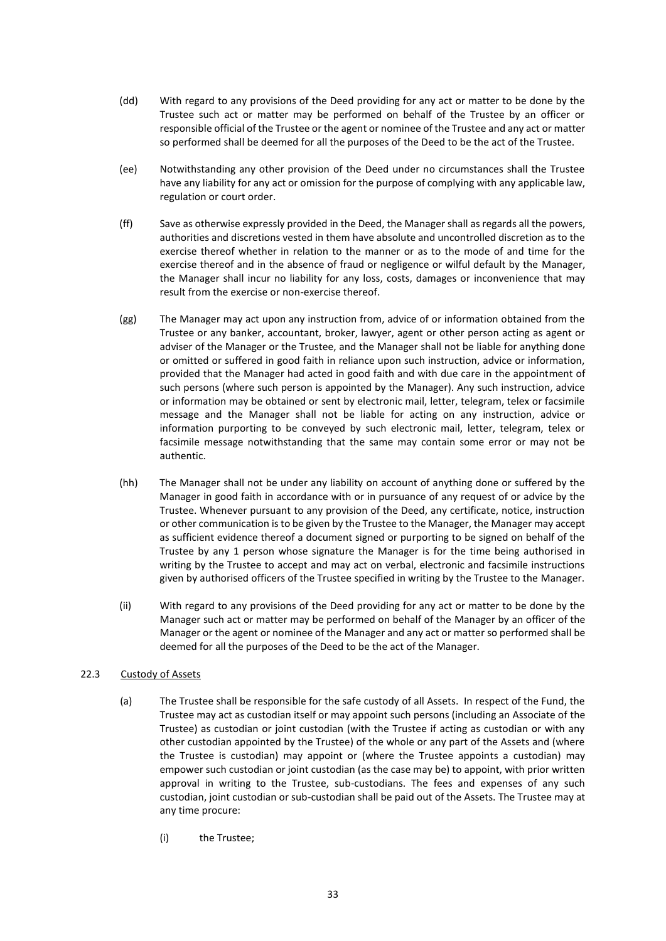- (dd) With regard to any provisions of the Deed providing for any act or matter to be done by the Trustee such act or matter may be performed on behalf of the Trustee by an officer or responsible official of the Trustee or the agent or nominee of the Trustee and any act or matter so performed shall be deemed for all the purposes of the Deed to be the act of the Trustee.
- (ee) Notwithstanding any other provision of the Deed under no circumstances shall the Trustee have any liability for any act or omission for the purpose of complying with any applicable law, regulation or court order.
- (ff) Save as otherwise expressly provided in the Deed, the Manager shall as regards all the powers, authorities and discretions vested in them have absolute and uncontrolled discretion as to the exercise thereof whether in relation to the manner or as to the mode of and time for the exercise thereof and in the absence of fraud or negligence or wilful default by the Manager, the Manager shall incur no liability for any loss, costs, damages or inconvenience that may result from the exercise or non-exercise thereof.
- (gg) The Manager may act upon any instruction from, advice of or information obtained from the Trustee or any banker, accountant, broker, lawyer, agent or other person acting as agent or adviser of the Manager or the Trustee, and the Manager shall not be liable for anything done or omitted or suffered in good faith in reliance upon such instruction, advice or information, provided that the Manager had acted in good faith and with due care in the appointment of such persons (where such person is appointed by the Manager). Any such instruction, advice or information may be obtained or sent by electronic mail, letter, telegram, telex or facsimile message and the Manager shall not be liable for acting on any instruction, advice or information purporting to be conveyed by such electronic mail, letter, telegram, telex or facsimile message notwithstanding that the same may contain some error or may not be authentic.
- (hh) The Manager shall not be under any liability on account of anything done or suffered by the Manager in good faith in accordance with or in pursuance of any request of or advice by the Trustee. Whenever pursuant to any provision of the Deed, any certificate, notice, instruction or other communication is to be given by the Trustee to the Manager, the Manager may accept as sufficient evidence thereof a document signed or purporting to be signed on behalf of the Trustee by any 1 person whose signature the Manager is for the time being authorised in writing by the Trustee to accept and may act on verbal, electronic and facsimile instructions given by authorised officers of the Trustee specified in writing by the Trustee to the Manager.
- (ii) With regard to any provisions of the Deed providing for any act or matter to be done by the Manager such act or matter may be performed on behalf of the Manager by an officer of the Manager or the agent or nominee of the Manager and any act or matter so performed shall be deemed for all the purposes of the Deed to be the act of the Manager.

# 22.3 Custody of Assets

- (a) The Trustee shall be responsible for the safe custody of all Assets. In respect of the Fund, the Trustee may act as custodian itself or may appoint such persons (including an Associate of the Trustee) as custodian or joint custodian (with the Trustee if acting as custodian or with any other custodian appointed by the Trustee) of the whole or any part of the Assets and (where the Trustee is custodian) may appoint or (where the Trustee appoints a custodian) may empower such custodian or joint custodian (as the case may be) to appoint, with prior written approval in writing to the Trustee, sub-custodians. The fees and expenses of any such custodian, joint custodian or sub-custodian shall be paid out of the Assets. The Trustee may at any time procure:
	- (i) the Trustee;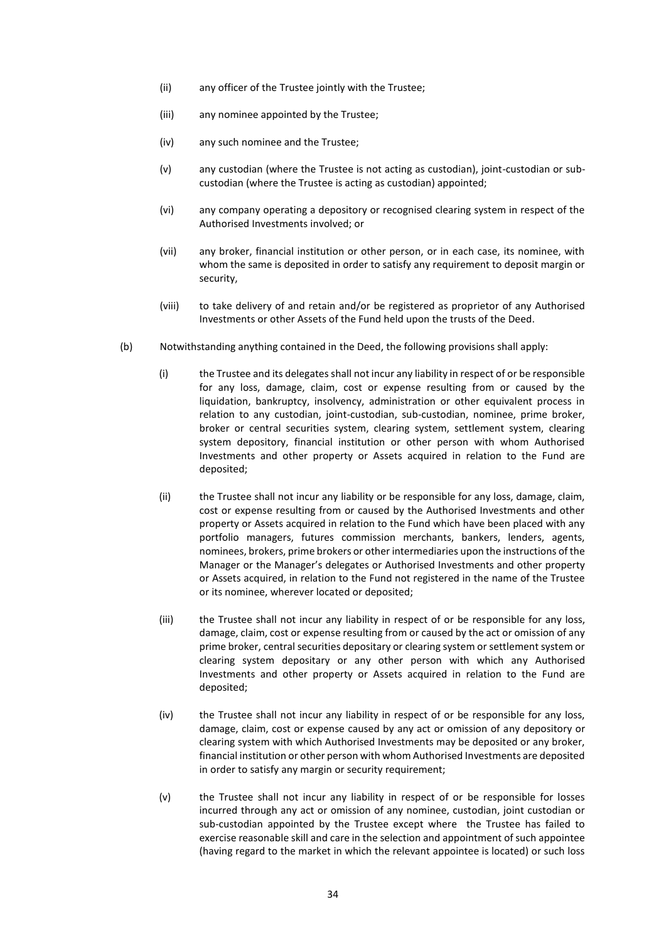- (ii) any officer of the Trustee jointly with the Trustee;
- (iii) any nominee appointed by the Trustee;
- (iv) any such nominee and the Trustee;
- (v) any custodian (where the Trustee is not acting as custodian), joint-custodian or subcustodian (where the Trustee is acting as custodian) appointed;
- (vi) any company operating a depository or recognised clearing system in respect of the Authorised Investments involved; or
- (vii) any broker, financial institution or other person, or in each case, its nominee, with whom the same is deposited in order to satisfy any requirement to deposit margin or security,
- (viii) to take delivery of and retain and/or be registered as proprietor of any Authorised Investments or other Assets of the Fund held upon the trusts of the Deed.
- (b) Notwithstanding anything contained in the Deed, the following provisions shall apply:
	- (i) the Trustee and its delegates shall not incur any liability in respect of or be responsible for any loss, damage, claim, cost or expense resulting from or caused by the liquidation, bankruptcy, insolvency, administration or other equivalent process in relation to any custodian, joint-custodian, sub-custodian, nominee, prime broker, broker or central securities system, clearing system, settlement system, clearing system depository, financial institution or other person with whom Authorised Investments and other property or Assets acquired in relation to the Fund are deposited;
	- (ii) the Trustee shall not incur any liability or be responsible for any loss, damage, claim, cost or expense resulting from or caused by the Authorised Investments and other property or Assets acquired in relation to the Fund which have been placed with any portfolio managers, futures commission merchants, bankers, lenders, agents, nominees, brokers, prime brokers or other intermediaries upon the instructions of the Manager or the Manager's delegates or Authorised Investments and other property or Assets acquired, in relation to the Fund not registered in the name of the Trustee or its nominee, wherever located or deposited;
	- (iii) the Trustee shall not incur any liability in respect of or be responsible for any loss, damage, claim, cost or expense resulting from or caused by the act or omission of any prime broker, central securities depositary or clearing system or settlement system or clearing system depositary or any other person with which any Authorised Investments and other property or Assets acquired in relation to the Fund are deposited;
	- (iv) the Trustee shall not incur any liability in respect of or be responsible for any loss, damage, claim, cost or expense caused by any act or omission of any depository or clearing system with which Authorised Investments may be deposited or any broker, financial institution or other person with whom Authorised Investments are deposited in order to satisfy any margin or security requirement;
	- (v) the Trustee shall not incur any liability in respect of or be responsible for losses incurred through any act or omission of any nominee, custodian, joint custodian or sub-custodian appointed by the Trustee except where the Trustee has failed to exercise reasonable skill and care in the selection and appointment of such appointee (having regard to the market in which the relevant appointee is located) or such loss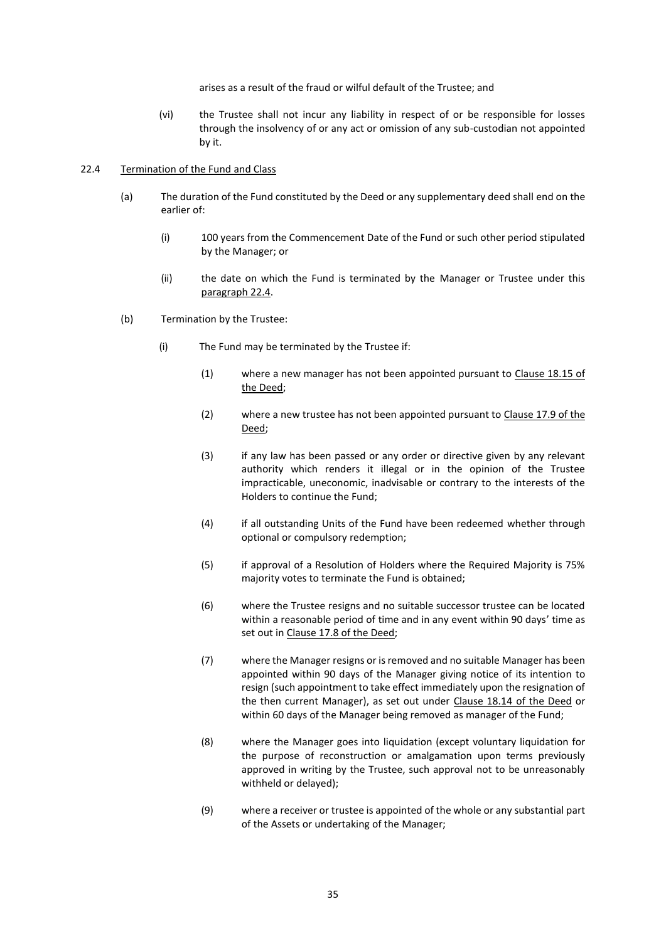arises as a result of the fraud or wilful default of the Trustee; and

(vi) the Trustee shall not incur any liability in respect of or be responsible for losses through the insolvency of or any act or omission of any sub-custodian not appointed by it.

### 22.4 Termination of the Fund and Class

- (a) The duration of the Fund constituted by the Deed or any supplementary deed shall end on the earlier of:
	- (i) 100 years from the Commencement Date of the Fund or such other period stipulated by the Manager; or
	- (ii) the date on which the Fund is terminated by the Manager or Trustee under this paragraph 22.4.
- (b) Termination by the Trustee:
	- (i) The Fund may be terminated by the Trustee if:
		- (1) where a new manager has not been appointed pursuant to Clause 18.15 of the Deed;
		- (2) where a new trustee has not been appointed pursuant to Clause 17.9 of the Deed;
		- (3) if any law has been passed or any order or directive given by any relevant authority which renders it illegal or in the opinion of the Trustee impracticable, uneconomic, inadvisable or contrary to the interests of the Holders to continue the Fund;
		- (4) if all outstanding Units of the Fund have been redeemed whether through optional or compulsory redemption;
		- (5) if approval of a Resolution of Holders where the Required Majority is 75% majority votes to terminate the Fund is obtained;
		- (6) where the Trustee resigns and no suitable successor trustee can be located within a reasonable period of time and in any event within 90 days' time as set out in Clause 17.8 of the Deed;
		- (7) where the Manager resigns or is removed and no suitable Manager has been appointed within 90 days of the Manager giving notice of its intention to resign (such appointment to take effect immediately upon the resignation of the then current Manager), as set out under Clause 18.14 of the Deed or within 60 days of the Manager being removed as manager of the Fund;
		- (8) where the Manager goes into liquidation (except voluntary liquidation for the purpose of reconstruction or amalgamation upon terms previously approved in writing by the Trustee, such approval not to be unreasonably withheld or delayed);
		- (9) where a receiver or trustee is appointed of the whole or any substantial part of the Assets or undertaking of the Manager;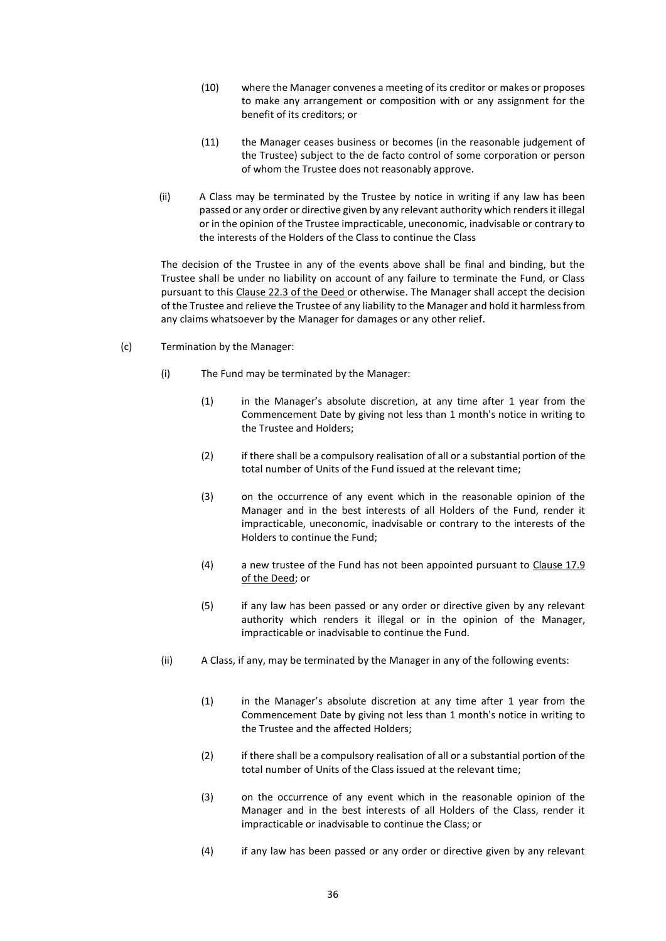- (10) where the Manager convenes a meeting of its creditor or makes or proposes to make any arrangement or composition with or any assignment for the benefit of its creditors; or
- (11) the Manager ceases business or becomes (in the reasonable judgement of the Trustee) subject to the de facto control of some corporation or person of whom the Trustee does not reasonably approve.
- (ii) A Class may be terminated by the Trustee by notice in writing if any law has been passed or any order or directive given by any relevant authority which renders it illegal or in the opinion of the Trustee impracticable, uneconomic, inadvisable or contrary to the interests of the Holders of the Class to continue the Class

The decision of the Trustee in any of the events above shall be final and binding, but the Trustee shall be under no liability on account of any failure to terminate the Fund, or Class pursuant to this Clause 22.3 of the Deed or otherwise. The Manager shall accept the decision of the Trustee and relieve the Trustee of any liability to the Manager and hold it harmless from any claims whatsoever by the Manager for damages or any other relief.

- (c) Termination by the Manager:
	- (i) The Fund may be terminated by the Manager:
		- (1) in the Manager's absolute discretion, at any time after 1 year from the Commencement Date by giving not less than 1 month's notice in writing to the Trustee and Holders;
		- (2) if there shall be a compulsory realisation of all or a substantial portion of the total number of Units of the Fund issued at the relevant time;
		- (3) on the occurrence of any event which in the reasonable opinion of the Manager and in the best interests of all Holders of the Fund, render it impracticable, uneconomic, inadvisable or contrary to the interests of the Holders to continue the Fund;
		- (4) a new trustee of the Fund has not been appointed pursuant to Clause 17.9 of the Deed; or
		- (5) if any law has been passed or any order or directive given by any relevant authority which renders it illegal or in the opinion of the Manager, impracticable or inadvisable to continue the Fund.
	- (ii) A Class, if any, may be terminated by the Manager in any of the following events:
		- (1) in the Manager's absolute discretion at any time after 1 year from the Commencement Date by giving not less than 1 month's notice in writing to the Trustee and the affected Holders;
		- (2) if there shall be a compulsory realisation of all or a substantial portion of the total number of Units of the Class issued at the relevant time;
		- (3) on the occurrence of any event which in the reasonable opinion of the Manager and in the best interests of all Holders of the Class, render it impracticable or inadvisable to continue the Class; or
		- (4) if any law has been passed or any order or directive given by any relevant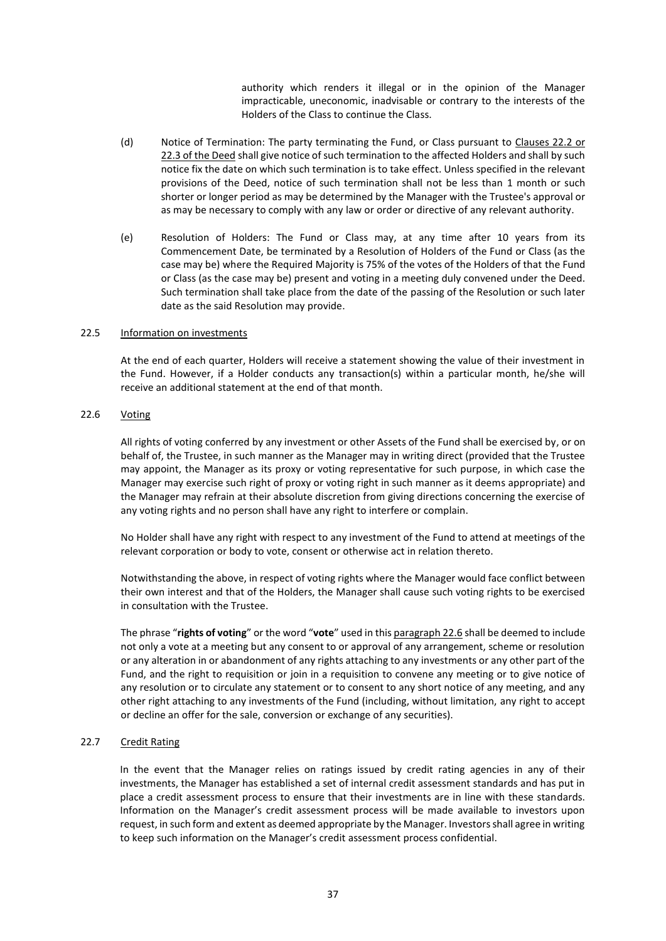authority which renders it illegal or in the opinion of the Manager impracticable, uneconomic, inadvisable or contrary to the interests of the Holders of the Class to continue the Class.

- (d) Notice of Termination: The party terminating the Fund, or Class pursuant to Clauses 22.2 or 22.3 of the Deed shall give notice of such termination to the affected Holders and shall by such notice fix the date on which such termination is to take effect. Unless specified in the relevant provisions of the Deed, notice of such termination shall not be less than 1 month or such shorter or longer period as may be determined by the Manager with the Trustee's approval or as may be necessary to comply with any law or order or directive of any relevant authority.
- (e) Resolution of Holders: The Fund or Class may, at any time after 10 years from its Commencement Date, be terminated by a Resolution of Holders of the Fund or Class (as the case may be) where the Required Majority is 75% of the votes of the Holders of that the Fund or Class (as the case may be) present and voting in a meeting duly convened under the Deed. Such termination shall take place from the date of the passing of the Resolution or such later date as the said Resolution may provide.

#### 22.5 Information on investments

At the end of each quarter, Holders will receive a statement showing the value of their investment in the Fund. However, if a Holder conducts any transaction(s) within a particular month, he/she will receive an additional statement at the end of that month.

# 22.6 Voting

All rights of voting conferred by any investment or other Assets of the Fund shall be exercised by, or on behalf of, the Trustee, in such manner as the Manager may in writing direct (provided that the Trustee may appoint, the Manager as its proxy or voting representative for such purpose, in which case the Manager may exercise such right of proxy or voting right in such manner as it deems appropriate) and the Manager may refrain at their absolute discretion from giving directions concerning the exercise of any voting rights and no person shall have any right to interfere or complain.

No Holder shall have any right with respect to any investment of the Fund to attend at meetings of the relevant corporation or body to vote, consent or otherwise act in relation thereto.

Notwithstanding the above, in respect of voting rights where the Manager would face conflict between their own interest and that of the Holders, the Manager shall cause such voting rights to be exercised in consultation with the Trustee.

The phrase "**rights of voting**" or the word "**vote**" used in this paragraph 22.6 shall be deemed to include not only a vote at a meeting but any consent to or approval of any arrangement, scheme or resolution or any alteration in or abandonment of any rights attaching to any investments or any other part of the Fund, and the right to requisition or join in a requisition to convene any meeting or to give notice of any resolution or to circulate any statement or to consent to any short notice of any meeting, and any other right attaching to any investments of the Fund (including, without limitation, any right to accept or decline an offer for the sale, conversion or exchange of any securities).

# 22.7 Credit Rating

In the event that the Manager relies on ratings issued by credit rating agencies in any of their investments, the Manager has established a set of internal credit assessment standards and has put in place a credit assessment process to ensure that their investments are in line with these standards. Information on the Manager's credit assessment process will be made available to investors upon request, in such form and extent as deemed appropriate by the Manager. Investors shall agree in writing to keep such information on the Manager's credit assessment process confidential.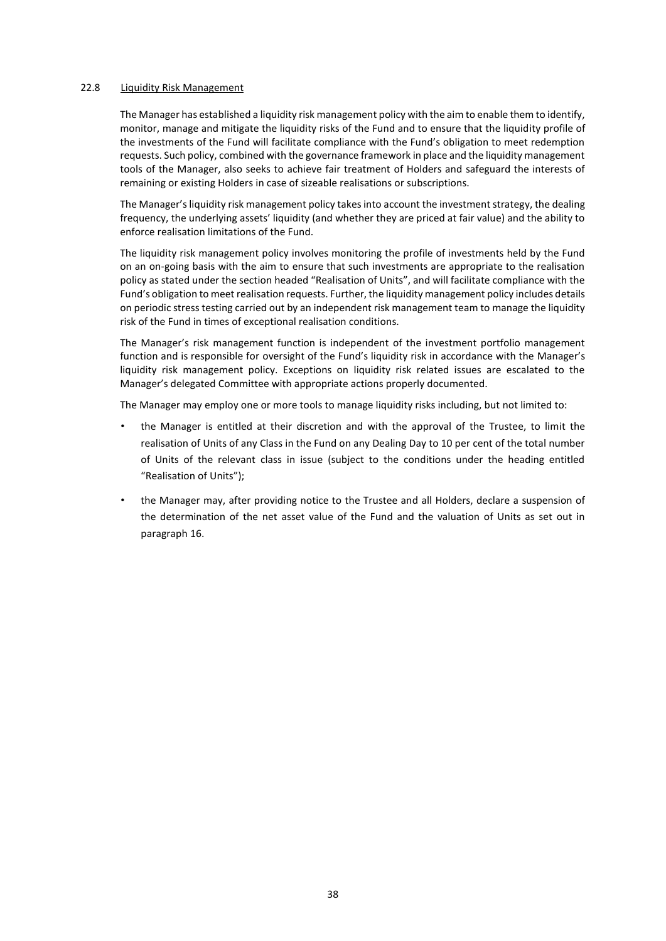#### 22.8 Liquidity Risk Management

The Manager has established a liquidity risk management policy with the aim to enable them to identify, monitor, manage and mitigate the liquidity risks of the Fund and to ensure that the liquidity profile of the investments of the Fund will facilitate compliance with the Fund's obligation to meet redemption requests. Such policy, combined with the governance framework in place and the liquidity management tools of the Manager, also seeks to achieve fair treatment of Holders and safeguard the interests of remaining or existing Holders in case of sizeable realisations or subscriptions.

The Manager'sliquidity risk management policy takes into account the investment strategy, the dealing frequency, the underlying assets' liquidity (and whether they are priced at fair value) and the ability to enforce realisation limitations of the Fund.

The liquidity risk management policy involves monitoring the profile of investments held by the Fund on an on-going basis with the aim to ensure that such investments are appropriate to the realisation policy as stated under the section headed "Realisation of Units", and will facilitate compliance with the Fund's obligation to meet realisation requests. Further, the liquidity management policy includes details on periodic stress testing carried out by an independent risk management team to manage the liquidity risk of the Fund in times of exceptional realisation conditions.

The Manager's risk management function is independent of the investment portfolio management function and is responsible for oversight of the Fund's liquidity risk in accordance with the Manager's liquidity risk management policy. Exceptions on liquidity risk related issues are escalated to the Manager's delegated Committee with appropriate actions properly documented.

The Manager may employ one or more tools to manage liquidity risks including, but not limited to:

- the Manager is entitled at their discretion and with the approval of the Trustee, to limit the realisation of Units of any Class in the Fund on any Dealing Day to 10 per cent of the total number of Units of the relevant class in issue (subject to the conditions under the heading entitled "Realisation of Units");
- the Manager may, after providing notice to the Trustee and all Holders, declare a suspension of the determination of the net asset value of the Fund and the valuation of Units as set out in paragraph 16.